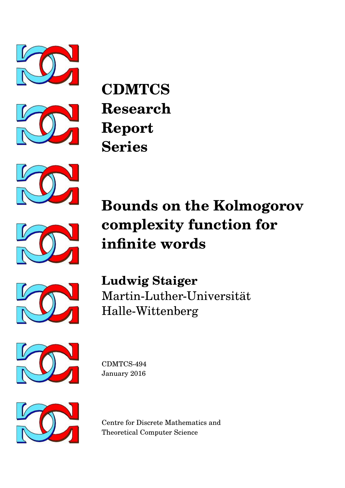









# **Bounds on the Kolmogorov complexity function for infinite words**



**Ludwig Staiger** Martin-Luther-Universitat¨ Halle-Wittenberg



CDMTCS-494 January 2016



Centre for Discrete Mathematics and Theoretical Computer Science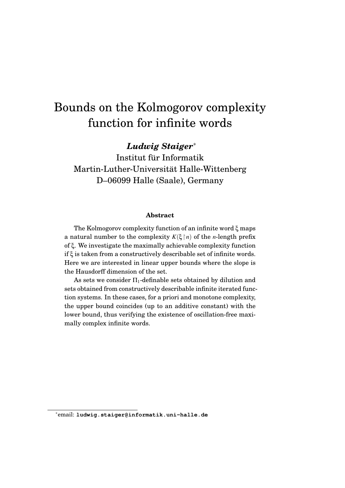## Bounds on the Kolmogorov complexity function for infinite words

*Ludwig Staiger*<sup>∗</sup>

Institut für Informatik Martin-Luther-Universitat Halle-Wittenberg ¨ D–06099 Halle (Saale), Germany

#### **Abstract**

The Kolmogorov complexity function of an infinite word ξ maps a natural number to the complexity  $K(\xi \mid n)$  of the *n*-length prefix of ξ. We investigate the maximally achievable complexity function if ξ is taken from a constructively describable set of infinite words. Here we are interested in linear upper bounds where the slope is the Hausdorff dimension of the set.

As sets we consider  $\Pi_1$ -definable sets obtained by dilution and sets obtained from constructively describable infinite iterated function systems. In these cases, for a priori and monotone complexity, the upper bound coincides (up to an additive constant) with the lower bound, thus verifying the existence of oscillation-free maximally complex infinite words.

<sup>∗</sup>email: **ludwig.staiger@informatik.uni-halle.de**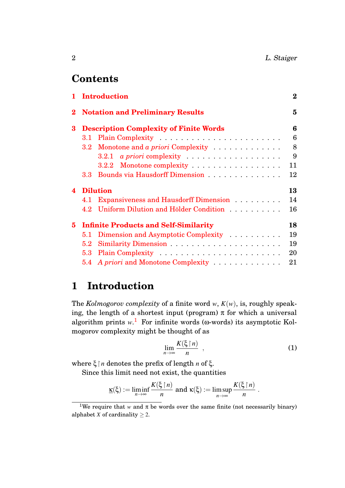## **Contents**

| <b>Notation and Preliminary Results</b><br>$\bf{2}$<br>$\bf{3}$<br><b>Description Complexity of Finite Words</b><br>$3.1\,$<br>Monotone and a priori Complexity<br>$3.2\,$<br>$3.2.1\,$<br>3.2.2 Monotone complexity<br>Bounds via Hausdorff Dimension<br>3.3 <sub>1</sub><br><b>Dilution</b><br>$\blacktriangle$<br>4.1 Expansiveness and Hausdorff Dimension<br>4.2 Uniform Dilution and Hölder Condition<br><b>Infinite Products and Self-Similarity</b><br>5.<br>Dimension and Asymptotic Complexity<br>5.1<br>5.2<br>5.3<br>A priori and Monotone Complexity<br>21<br>$5.4\,$ | $\mathbf{1}$ | <b>Introduction</b> | $\bf{2}$ |
|------------------------------------------------------------------------------------------------------------------------------------------------------------------------------------------------------------------------------------------------------------------------------------------------------------------------------------------------------------------------------------------------------------------------------------------------------------------------------------------------------------------------------------------------------------------------------------|--------------|---------------------|----------|
|                                                                                                                                                                                                                                                                                                                                                                                                                                                                                                                                                                                    |              |                     | 5        |
|                                                                                                                                                                                                                                                                                                                                                                                                                                                                                                                                                                                    |              |                     | 6        |
|                                                                                                                                                                                                                                                                                                                                                                                                                                                                                                                                                                                    |              |                     | 6        |
|                                                                                                                                                                                                                                                                                                                                                                                                                                                                                                                                                                                    |              |                     | 8        |
|                                                                                                                                                                                                                                                                                                                                                                                                                                                                                                                                                                                    |              |                     | 9        |
|                                                                                                                                                                                                                                                                                                                                                                                                                                                                                                                                                                                    |              |                     | 11       |
|                                                                                                                                                                                                                                                                                                                                                                                                                                                                                                                                                                                    |              |                     | 12       |
|                                                                                                                                                                                                                                                                                                                                                                                                                                                                                                                                                                                    |              |                     | 13       |
|                                                                                                                                                                                                                                                                                                                                                                                                                                                                                                                                                                                    |              |                     | 14       |
|                                                                                                                                                                                                                                                                                                                                                                                                                                                                                                                                                                                    |              |                     | 16       |
|                                                                                                                                                                                                                                                                                                                                                                                                                                                                                                                                                                                    |              |                     | 18       |
|                                                                                                                                                                                                                                                                                                                                                                                                                                                                                                                                                                                    |              |                     | 19       |
|                                                                                                                                                                                                                                                                                                                                                                                                                                                                                                                                                                                    |              |                     | 19       |
|                                                                                                                                                                                                                                                                                                                                                                                                                                                                                                                                                                                    |              |                     | 20       |
|                                                                                                                                                                                                                                                                                                                                                                                                                                                                                                                                                                                    |              |                     |          |

## <span id="page-2-0"></span>**1 Introduction**

The *Kolmogorov complexity* of a finite word *w*, *K*(*w*), is, roughly speaking, the length of a shortest input (program)  $\pi$  for which a universal algorithm prints  $w<sup>1</sup>$  $w<sup>1</sup>$  $w<sup>1</sup>$ . For infinite words ( $\omega$ -words) its asymptotic Kolmogorov complexity might be thought of as

$$
\lim_{n \to \infty} \frac{K(\xi \mid n)}{n} \quad , \tag{1}
$$

where ξ*n* denotes the prefix of length *n* of ξ.

Since this limit need not exist, the quantities

$$
\underline{\kappa}(\xi) := \liminf_{n \to \infty} \frac{K(\xi \upharpoonright n)}{n} \text{ and } \kappa(\xi) := \limsup_{n \to \infty} \frac{K(\xi \upharpoonright n)}{n}.
$$

<span id="page-2-1"></span><sup>&</sup>lt;sup>1</sup>We require that *w* and  $\pi$  be words over the same finite (not necessarily binary) alphabet *X* of cardinality  $\geq 2$ .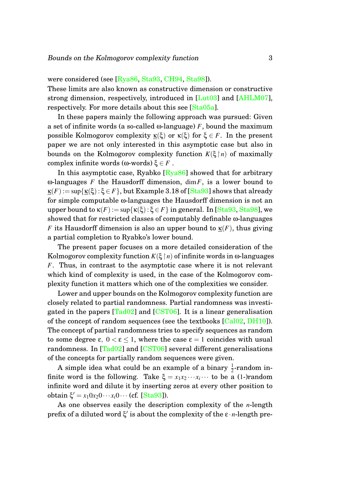were considered (see [\[Rya86,](#page-27-0) [Sta93,](#page-28-0) [CH94,](#page-26-0) [Sta98\]](#page-28-1)).

These limits are also known as constructive dimension or constructive strong dimension, respectively, introduced in [\[Lut03\]](#page-27-1) and [\[AHLM07\]](#page-26-1), respectively. For more details about this see [\[Sta05a\]](#page-28-2).

In these papers mainly the following approach was pursued: Given a set of infinite words (a so-called  $\omega$ -language) *F*, bound the maximum possible Kolmogorov complexity  $K(\xi)$  or  $K(\xi)$  for  $\xi \in F$ . In the present paper we are not only interested in this asymptotic case but also in bounds on the Kolmogorov complexity function  $K(\xi | n)$  of maximally complex infinite words (ω-words)  $\xi \in F$ .

In this asymptotic case, Ryabko  $[Rya86]$  showed that for arbitrary ω-languages *F* the Hausdorff dimension, dim*F*, is a lower bound to  $\kappa(F) := \sup{\kappa(\xi) : \xi \in F}$ , but Example 3.18 of [\[Sta93\]](#page-28-0) shows that already for simple computable ω-languages the Hausdorff dimension is not an upper bound to  $\kappa(F) := \sup{\kappa(\xi) : \xi \in F}$  in general. In [\[Sta93,](#page-28-0) [Sta98\]](#page-28-1), we showed that for restricted classes of computably definable ω-languages *F* its Hausdorff dimension is also an upper bound to  $\kappa(F)$ , thus giving a partial completion to Ryabko's lower bound.

The present paper focuses on a more detailed consideration of the Kolmogorov complexity function  $K(\xi | n)$  of infinite words in  $\omega$ -languages *F*. Thus, in contrast to the asymptotic case where it is not relevant which kind of complexity is used, in the case of the Kolmogorov complexity function it matters which one of the complexities we consider.

Lower and upper bounds on the Kolmogorov complexity function are closely related to partial randomness. Partial randomness was investigated in the papers  $[Tad02]$  and  $[CST06]$ . It is a linear generalisation of the concept of random sequences (see the textbooks [\[Cal02,](#page-26-3) [DH10\]](#page-26-4)). The concept of partial randomness tries to specify sequences as random to some degree ε,  $0 < \varepsilon \leq 1$ , where the case  $\varepsilon = 1$  coincides with usual randomness. In [\[Tad02\]](#page-28-3) and [\[CST06\]](#page-26-2) several different generalisations of the concepts for partially random sequences were given.

A simple idea what could be an example of a binary  $\frac{1}{2}$ -random infinite word is the following. Take  $\xi = x_1 x_2 \cdots x_i \cdots$  to be a (1-)random infinite word and dilute it by inserting zeros at every other position to  $\text{obtain } \xi' = x_1 0 x_2 0 \cdots x_i 0 \cdots \text{ (cf. [Sta93])}.$  $\text{obtain } \xi' = x_1 0 x_2 0 \cdots x_i 0 \cdots \text{ (cf. [Sta93])}.$  $\text{obtain } \xi' = x_1 0 x_2 0 \cdots x_i 0 \cdots \text{ (cf. [Sta93])}.$ 

As one observes easily the description complexity of the *n*-length prefix of a diluted word ξ' is about the complexity of the ε·*n*-length pre-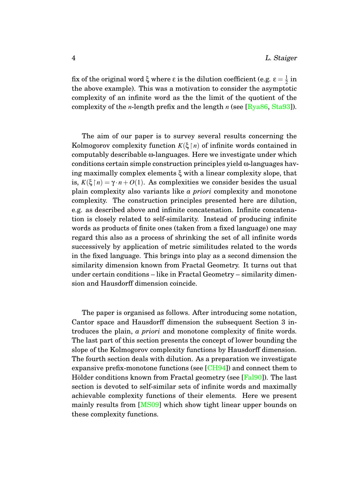fix of the original word ξ where ε is the dilution coefficient (e.g.  $\epsilon = \frac{1}{2}$  $rac{1}{2}$  in the above example). This was a motivation to consider the asymptotic complexity of an infinite word as the the limit of the quotient of the complexity of the *n*-length prefix and the length *n* (see [\[Rya86,](#page-27-0) [Sta93\]](#page-28-0)).

The aim of our paper is to survey several results concerning the Kolmogorov complexity function  $K(\xi \mid n)$  of infinite words contained in computably describable ω-languages. Here we investigate under which conditions certain simple construction principles yield ω-languages having maximally complex elements ξ with a linear complexity slope, that is,  $K(\xi \mid n) = \gamma \cdot n + O(1)$ . As complexities we consider besides the usual plain complexity also variants like *a priori* complexity and monotone complexity. The construction principles presented here are dilution, e.g. as described above and infinite concatenation. Infinite concatenation is closely related to self-similarity. Instead of producing infinite words as products of finite ones (taken from a fixed language) one may regard this also as a process of shrinking the set of all infinite words successively by application of metric similitudes related to the words in the fixed language. This brings into play as a second dimension the similarity dimension known from Fractal Geometry. It turns out that under certain conditions – like in Fractal Geometry – similarity dimension and Hausdorff dimension coincide.

The paper is organised as follows. After introducing some notation, Cantor space and Hausdorff dimension the subsequent Section 3 introduces the plain, *a priori* and monotone complexity of finite words. The last part of this section presents the concept of lower bounding the slope of the Kolmogorov complexity functions by Hausdorff dimension. The fourth section deals with dilution. As a preparation we investigate expansive prefix-monotone functions (see  $[CH94]$ ) and connect them to Hölder conditions known from Fractal geometry (see [[Fal90\]](#page-27-2)). The last section is devoted to self-similar sets of infinite words and maximally achievable complexity functions of their elements. Here we present mainly results from [\[MS09\]](#page-27-3) which show tight linear upper bounds on these complexity functions.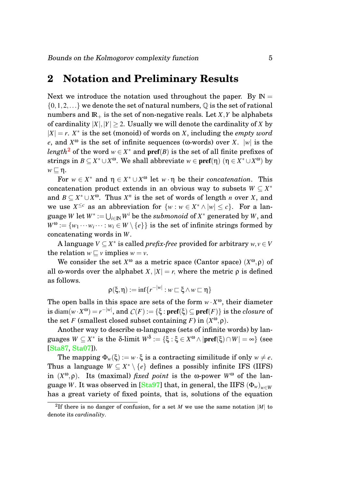## <span id="page-5-0"></span>**2 Notation and Preliminary Results**

Next we introduce the notation used throughout the paper. By  $\mathbb{N} =$  $\{0,1,2,...\}$  we denote the set of natural numbers,  $\mathbb Q$  is the set of rational numbers and  $\mathbb{R}_+$  is the set of non-negative reals. Let *X*, *Y* be alphabets of cardinality  $|X|, |Y| > 2$ . Usually we will denote the cardinality of *X* by  $|X| = r$ .  $X^*$  is the set (monoid) of words on *X*, including the *empty word e*, and  $X^{\omega}$  is the set of infinite sequences ( $\omega$ -words) over *X*. |*w*| is the  $length^2$  $length^2$  of the word  $w \in X^*$  and  $\mathbf{pref}(B)$  is the set of all finite prefixes of strings in  $B \subseteq X^* \cup X^{\omega}$ . We shall abbreviate  $w \in \text{pref}(\eta)$   $(\eta \in X^* \cup X^{\omega})$  by  $w \sqsubset \eta$ .

For  $w \in X^*$  and  $\eta \in X^* \cup X^{\omega}$  let  $w \cdot \eta$  be their *concatenation*. This concatenation product extends in an obvious way to subsets  $W \subseteq X^*$ and  $B \subseteq X^* \cup X^{\omega}$ . Thus  $X^n$  is the set of words of length *n* over *X*, and we use  $X^{\leq c}$  as an abbreviation for  $\{w : w \in X^* \wedge |w| \leq c\}$ . For a lan- $\mathbf{g}$ uage  $W$  let  $W^*:=\bigcup_{i\in \mathbb{N}}W^i$  be the  $\mathit{submonoid}$  of  $X^*$  generated by  $W,$  and  $W^{\omega} := \{w_1 \cdots w_i \cdots : w_i \in W \setminus \{e\}\}\$ is the set of infinite strings formed by concatenating words in *W*.

A language *V* ⊆ *X* ∗ is called *prefix-free* provided for arbitrary *w*, *v* ∈*V* the relation  $w \sqsubset v$  implies  $w = v$ .

We consider the set  $X^{\omega}$  as a metric space (Cantor space)  $(X^{\omega}, \rho)$  of all ω-words over the alphabet *X*,  $|X| = r$ , where the metric  $\rho$  is defined as follows.

$$
\rho(\xi,\eta):= \inf\{r^{-|w|}: w\sqsubset \xi \wedge w\sqsubset \eta\}
$$

The open balls in this space are sets of the form  $w \cdot X^{\omega}$ , their diameter  ${\rm i} \operatorname{s} \operatorname{diam}(w\cdot X^{\omega})=r^{-|w|}, \text{ and }\, {\mathcal C}(F):=\{\boldsymbol{\xi}: \textbf{pref}(\boldsymbol{\xi})\subseteq \textbf{pref}(F)\} \text{ is the } closure \text{ of } \mathcal{C}$ the set *F* (smallest closed subset containing *F*) in  $(X^{\omega}, \rho)$ .

Another way to describe ω-languages (sets of infinite words) by lan- $\textnormal{guages } W \subseteq X^* \textnormal{ is the } \delta\textnormal{-limit } W^\delta := \{\xi: \xi \in X^\omega \wedge |\textnormal{pref}(\xi) \cap W| = \infty\} \textnormal{ (see } \delta\textnormal{-limit } W^\delta := \{\xi: \xi \in X^\delta \wedge |\textnormal{pref}(\xi) \cap W| = \delta\}$ [\[Sta87,](#page-27-4) [Sta07\]](#page-28-4)).

The mapping  $\Phi_w(\xi) := w \cdot \xi$  is a contracting similitude if only  $w \neq e$ . Thus a language  $W \subseteq X^* \setminus \{e\}$  defines a possibly infinite IFS (IIFS) in  $(X^{\omega}, \rho)$ . Its (maximal) *fixed point* is the  $\omega$ -power  $W^{\omega}$  of the language *W*. It was observed in [\[Sta97\]](#page-28-5) that, in general, the IIFS  $(\Phi_w)_{w \in W}$ has a great variety of fixed points, that is, solutions of the equation

<span id="page-5-1"></span><sup>&</sup>lt;sup>2</sup>If there is no danger of confusion, for a set  $M$  we use the same notation  $|M|$  to denote its *cardinality*.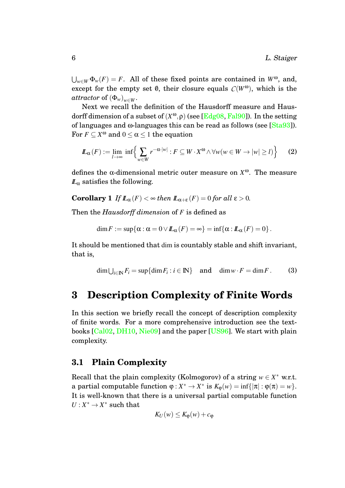$\bigcup_{w \in W} \Phi_w(F) = F$ . All of these fixed points are contained in  $W^{\omega}$ , and, except for the empty set  $\emptyset$ , their closure equals  $C(W^{\omega})$ , which is the *attractor* of  $(\Phi_w)_{w \in W}$ .

Next we recall the definition of the Hausdorff measure and Hausdorff dimension of a subset of (*X* <sup>ω</sup>,ρ) (see [\[Edg08,](#page-26-5) [Fal90\]](#page-27-2)). In the setting of languages and  $\omega$ -languages this can be read as follows (see [\[Sta93\]](#page-28-0)). For  $F \subseteq X^{\omega}$  and  $0 \leq \alpha \leq 1$  the equation

$$
\mathbb{L}_{\alpha}(F) := \lim_{l \to \infty} \inf \left\{ \sum_{w \in W} r^{-\alpha \cdot |w|} : F \subseteq W \cdot X^{\omega} \wedge \forall w (w \in W \to |w| \ge l) \right\} \tag{2}
$$

defines the  $\alpha$ -dimensional metric outer measure on  $X^{\omega}$ . The measure  $\mathbb{L}_{\alpha}$  satisfies the following.

**Corollary 1** *If*  $\mathbb{L}_{\alpha}(F) < \infty$  *then*  $\mathbb{L}_{\alpha+\epsilon}(F) = 0$  *for all*  $\epsilon > 0$ *.* 

Then the *Hausdorff dimension* of *F* is defined as

$$
\dim F := \sup \{ \alpha : \alpha = 0 \vee L_{\alpha}(F) = \infty \} = \inf \{ \alpha : L_{\alpha}(F) = 0 \}.
$$

It should be mentioned that dim is countably stable and shift invariant, that is,

$$
\dim \bigcup_{i \in \mathbb{N}} F_i = \sup \{ \dim F_i : i \in \mathbb{N} \} \quad \text{and} \quad \dim w \cdot F = \dim F. \tag{3}
$$

## <span id="page-6-0"></span>**3 Description Complexity of Finite Words**

In this section we briefly recall the concept of description complexity of finite words. For a more comprehensive introduction see the textbooks [\[Cal02,](#page-26-3) [DH10,](#page-26-4) [Nie09\]](#page-27-5) and the paper [\[US96\]](#page-29-0). We start with plain complexity.

#### <span id="page-6-1"></span>**3.1 Plain Complexity**

Recall that the plain complexity (Kolmogorov) of a string  $w \in X^*$  w.r.t. a partial computable function  $\varphi: X^* \to X^*$  is  $K_{\varphi}(w) = \inf\{|\pi| : \varphi(\pi) = w\}.$ It is well-known that there is a universal partial computable function  $U: X^* \to X^*$  such that

$$
K_U(w) \leq K_{\varphi}(w) + c_{\varphi}
$$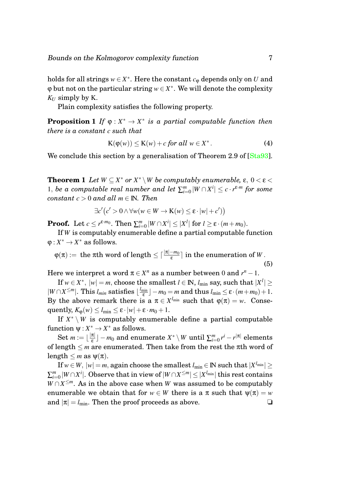holds for all strings  $w \in X^*$ . Here the constant  $c_{\varphi}$  depends only on  $U$  and  $\varphi$  but not on the particular string  $w \in X^*$ . We will denote the complexity  $K_U$  simply by K.

Plain complexity satisfies the following property.

**Proposition 1** *If*  $\varphi: X^* \to X^*$  *is a partial computable function then there is a constant c such that*

<span id="page-7-0"></span>
$$
K(\varphi(w)) \le K(w) + c \text{ for all } w \in X^*.
$$
 (4)

<span id="page-7-1"></span>We conclude this section by a generalisation of Theorem 2.9 of [\[Sta93\]](#page-28-0).

**Theorem 1** *Let*  $W \subseteq X^*$  *or*  $X^* \setminus W$  *be computably enumerable,*  $\varepsilon$ ,  $0 < \varepsilon$  < 1, *be a computable real number and let*  $\sum_{i=0}^{m} |W \cap X^{i}| \leq c \cdot r^{\varepsilon \cdot m}$  for some *constant*  $c > 0$  *and all*  $m \in \mathbb{N}$ *. Then* 

$$
\exists c' (c' > 0 \land \forall w (w \in W \to \mathbf{K}(w) \le \varepsilon \cdot |w| + c'))
$$

**Proof.** Let  $c \leq r^{\varepsilon \cdot m_0}$ . Then  $\sum_{i=0}^m |W \cap X^i| \leq |X^l|$  for  $l \geq \varepsilon \cdot (m+m_0)$ .

If *W* is computably enumerable define a partial computable function  $\varphi: X^* \to X^*$  as follows.

 $\phi(\pi) := \text{ the } \pi\text{th word of length} \leq \lceil\frac{|\pi|-m_0}{\varepsilon}\rceil \text{ in the enumeration of } W\,.$ (5)

Here we interpret a word  $\pi \in X^n$  as a number between 0 and  $r^n - 1$ .

 $\text{If } w \in X^*, \ |w| = m \text{, choose the smallest } l \in \mathbb{N}, \ l_{\text{min}} \text{ say, such that } |X^l| \geq 0.$  $|W \cap X^{\leq m}|$ . This *l<sub>min</sub>* satisfies  $\lfloor \frac{l_{\text{min}}}{\epsilon} \rfloor$  $\frac{e^{\min\theta}}{\epsilon}$   $-m_0 = m$  and thus  $l_{\min} \leq \epsilon \cdot (m+m_0)+1.$ By the above remark there is a  $\pi \in X^{l_{\min}}$  such that  $\varphi(\pi) = w$ . Consequently,  $K_{\varphi}(w) \leq l_{\min} \leq \varepsilon \cdot |w| + \varepsilon \cdot m_0 + 1$ .

If  $X^* \setminus W$  is computably enumerable define a partial computable function  $\psi: X^* \to X^*$  as follows.

Set  $m := \lfloor \frac{|\pi|}{s} \rfloor$  $\left\{ \frac{\pi}{\varepsilon} \right\}$   $m_0$  and enumerate  $X^* \setminus W$  until  $\sum_{i=0}^m r^i - r^{|\pi|}$  elements of length ≤ *m* are enumerated. Then take from the rest the πth word of length  $\leq m$  as  $\psi(\pi)$ .

 ${\rm If}\, w\,{\in}\,W,\,|w|\,{=}\,m, \,{\rm again} \,\,{\rm choose} \,\,{\rm the \,\, smallest}\,\,l_{\rm min}\,{\in}\,\mathbb{N} \,\,{\rm such} \,{\rm that} \,\,|X^{l_{\rm min}}|\,{\geq}\,$  $\sum_{i=0}^m |W \cap X^i|. \text{ Observe that in view of } |W \cap X^{\leq m}| \leq |X^{l_{\text{min}}}| \text{ this rest contains }$  $W \cap X^{\leq m}$ . As in the above case when *W* was assumed to be computably enumerable we obtain that for  $w \in W$  there is a  $\pi$  such that  $\psi(\pi) = w$ and  $|\pi| = l_{\min}$ . Then the proof proceeds as above.  $\Box$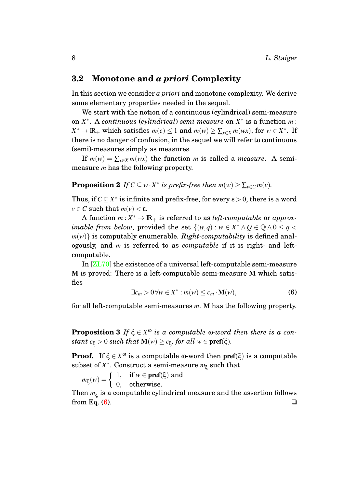#### <span id="page-8-0"></span>**3.2 Monotone and** *a priori* **Complexity**

In this section we consider *a priori* and monotone complexity. We derive some elementary properties needed in the sequel.

We start with the notion of a continuous (cylindrical) semi-measure on *X* ∗ . A *continuous* (*cylindrical*) *semi-measure* on *X* ∗ is a function *m* :  $X^* \to \mathbb{R}_+$  which satisfies  $m(e) \leq 1$  and  $m(w) \geq \sum_{x \in X} m(wx)$ , for  $w \in X^*$ . If there is no danger of confusion, in the sequel we will refer to continuous (semi)-measures simply as measures.

<span id="page-8-3"></span>If  $m(w) = \sum_{x \in X} m(wx)$  the function *m* is called a *measure*. A semimeasure *m* has the following property.

## **Proposition 2** *If*  $C \subseteq w \cdot X^*$  *is prefix-free then*  $m(w) \ge \sum_{v \in C} m(v)$ *.*

Thus, if  $C \subseteq X^*$  is infinite and prefix-free, for every  $\varepsilon > 0$ , there is a word  $v \in C$  such that  $m(v) < \varepsilon$ .

A function  $m: X^* \to \mathbb{R}_+$  is referred to as *left-computable* or *approximable from below*, provided the set  $\{(w,q): w \in X^* \land Q \in \mathbb{Q} \land 0 \leq q < \emptyset\}$  $m(w)$  is computably enumerable. *Right-computability* is defined analogously, and *m* is referred to as *computable* if it is right- and leftcomputable.

In [\[ZL70\]](#page-29-1) the existence of a universal left-computable semi-measure M is proved: There is a left-computable semi-measure M which satisfies

<span id="page-8-1"></span>
$$
\exists c_m > 0 \,\forall w \in X^* : m(w) \le c_m \cdot \mathbf{M}(w),\tag{6}
$$

<span id="page-8-2"></span>for all left-computable semi-measures *m*. M has the following property.

**Proposition 3** *If*  $\xi \in X^{\omega}$  *is a computable*  $\omega$ *-word then there is a con-* $\textit{stant } c_{\xi} > 0 \textit{ such that } \mathbf{M}(w) \geq c_{\xi}, \textit{for all } w \in \textbf{pref}(\xi).$ 

**Proof.** If  $\xi \in X^{\omega}$  is a computable  $\omega$ -word then pref( $\xi$ ) is a computable subset of *X* ∗ . Construct a semi-measure *m*<sup>ξ</sup> such that

 $m_{\xi}(w) = \begin{cases} 1, & \text{if } w \in \text{pref}(\xi) \text{ and} \\ 0, & \text{otherwise} \end{cases}$ 0, otherwise.

Then  $m_{\xi}$  is a computable cylindrical measure and the assertion follows from Eq. [\(6\)](#page-8-1).  $\Box$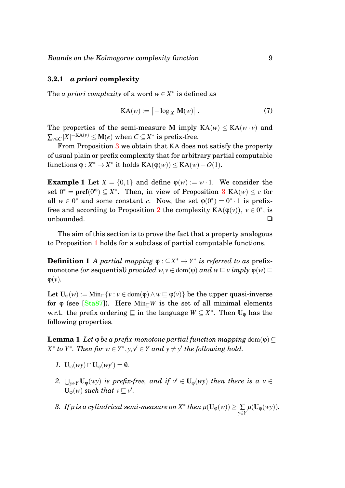#### <span id="page-9-0"></span>**3.2.1** *a priori* **complexity**

The *a priori complexity* of a word  $w \in X^*$  is defined as

$$
KA(w) := \left[ -\log_{|X|} \mathbf{M}(w) \right]. \tag{7}
$$

The properties of the semi-measure M imply  $KA(w) \leq KA(w \cdot v)$  and  $\sum_{\nu \in C} |X|^{-\mathrm{KA}(\nu)} \leq \mathbf{M}(e) \,\,\mathrm{when}\,\, C \subseteq X^* \,\, \mathrm{is} \,\, \mathrm{prefix\text{-}free}.$ 

From Proposition [3](#page-8-2) we obtain that KA does not satisfy the property of usual plain or prefix complexity that for arbitrary partial computable functions  $\varphi: X^* \to X^*$  it holds  $\text{KA}(\varphi(w)) \leq \text{KA}(w) + O(1)$ .

**Example 1** Let  $X = \{0, 1\}$  and define  $\varphi(w) := w \cdot 1$ . We consider the set  $0^* = \text{pref}(0^{\omega}) \subseteq X^*$ . Then, in view of Proposition [3](#page-8-2) KA(*w*)  $\leq c$  for all  $w \in 0^*$  and some constant *c*. Now, the set  $\varphi(0^*) = 0^* \cdot 1$  is prefix-free and according to Proposition [2](#page-8-3) the complexity  $KA(\varphi(v)), v \in 0^*$ , is unbounded. ❏

The aim of this section is to prove the fact that a property analogous to Proposition [1](#page-7-0) holds for a subclass of partial computable functions.

**Definition 1** *A partial mapping*  $\varphi : \subseteq X^* \to Y^*$  *is referred to as prefix*monotone *(or* sequential*)* provided  $w, v \in \text{dom}(\varphi)$  and  $w \subset v$  *imply*  $\varphi(w) \subset$  $\varphi(\nu)$ .

Let  $U_{\omega}(w) := \text{Min}_{\square}\{v : v \in \text{dom}(\phi) \land w \sqsubseteq \phi(v)\}\$  be the upper quasi-inverse for  $\varphi$  (see [\[Sta87\]](#page-27-4)). Here Min<sub>*C</sub>W* is the set of all minimal elements</sub> w.r.t. the prefix ordering  $\subseteq$  in the language  $W \subseteq X^*$ . Then  $U_{\varphi}$  has the following properties.

<span id="page-9-1"></span>**Lemma 1** *Let*  $\varphi$  *be a prefix-monotone partial function mapping* dom $(\varphi) \subset$  $X^*$  *to*  $Y^*$ . Then for  $w \in Y^*$ ,  $y, y' \in Y$  and  $y \neq y'$  the following hold.

- *1.*  $\mathbf{U}_{\phi}(wy) \cap \mathbf{U}_{\phi}(wy') = \emptyset$ *.*
- <span id="page-9-2"></span>2.  $\bigcup_{y \in Y}$  U<sub>Q</sub>(*wy*) *is prefix-free, and if*  $v' \in U_{\varphi}(wy)$  *then there is a*  $v \in$  $\mathbf{U}_{\varphi}(w)$  *such that*  $v \sqsubseteq v'$ .
- *3. If*  $\mu$  *is a cylindrical semi-measure on*  $X^*$  *then*  $\mu(\mathbf{U}_{\phi}(w)) \geq \sum_{y \in Y} \mu(\mathbf{U}_{\phi}(wy))$ .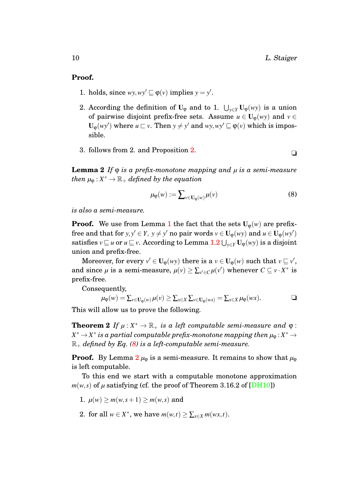#### **Proof.**

- 1. holds, since  $wy, wy' \sqsubseteq \varphi(v)$  implies  $y = y'$ .
- 2. According the definition of U<sub> $\phi$ </sub> and to 1.  $\bigcup_{y \in Y} U_{\phi}(wy)$  is a union of pairwise disjoint prefix-free sets. Assume  $u \in U_{\phi}(wy)$  and  $v \in$  $\mathbf{U}_{\varphi}(wy')$  where  $u \sqsubset v$ . Then  $y \neq y'$  and  $wy, wy' \sqsubseteq \varphi(v)$  which is impossible.
- 3. follows from [2.](#page-8-3) and Proposition 2.  $\Box$

<span id="page-10-1"></span>**Lemma 2** *If* ϕ *is a prefix-monotone mapping and µ is a semi-measure*  $\mathcal{H}$  *then*  $\mu_{\varphi}: X^* \to \mathbb{R}_+$  *defined by the equation* 

<span id="page-10-0"></span>
$$
\mu_{\varphi}(w) := \sum_{v \in \mathbf{U}_{\varphi}(w)} \mu(v) \tag{8}
$$

*is also a semi-measure.*

**Proof.** We use from Lemma [1](#page-9-1) the fact that the sets  $U_{\varphi}(w)$  are prefixfree and that for *y*, *y*'  $\in$  *Y*, *y*  $\neq$  *y*' no pair words *v*  $\in$  **U**<sub> $\varphi$ </sub>(*wy*) and *u*  $\in$  **U**<sub> $\varphi$ </sub>(*wy*')  $satisfies$   $v\sqsubseteq u$  or  $u\sqsubseteq v.$  According to Lemma  $1.2\bigcup_{y\in Y} \mathbf{U}_\phi(wy)$  $1.2\bigcup_{y\in Y} \mathbf{U}_\phi(wy)$  $1.2\bigcup_{y\in Y} \mathbf{U}_\phi(wy)$  is a disjoint union and prefix-free.

Moreover, for every  $v' \in U_{\varphi}(wy)$  there is a  $v \in U_{\varphi}(w)$  such that  $v \sqsubseteq v'$ , and since  $\mu$  is a semi-measure,  $\mu(v) \ge \sum_{v' \in C} \mu(v')$  whenever  $C \subseteq v \cdot X^*$  is prefix-free.

Consequently,

$$
\mu_{\varphi}(w) = \sum_{v \in \mathbf{U}_{\varphi}(w)} \mu(v) \geq \sum_{x \in X} \sum_{v \in \mathbf{U}_{\varphi}(wx)} = \sum_{x \in X} \mu_{\varphi}(wx).
$$

This will allow us to prove the following.

**Theorem 2** *If*  $\mu$  :  $X^* \to \mathbb{R}_+$  *is a left computable semi-measure and*  $\varphi$  :  $X^*$   $\rightarrow$   $X^*$  is a partial computable prefix-monotone mapping then  $\mu_\mathfrak{P}$  :  $X^*$   $\rightarrow$  $\mathbb{R}_+$  *defined by Eq.* [\(8\)](#page-10-0) *is a left-computable semi-measure.* 

**Proof.** By Lemma  $2 \mu_{\varphi}$  $2 \mu_{\varphi}$  is a semi-measure. It remains to show that  $\mu_{\varphi}$ is left computable.

To this end we start with a computable monotone approximation  $m(w, s)$  of  $\mu$  satisfying (cf. the proof of Theorem 3.16.2 of [\[DH10\]](#page-26-4))

- 1.  $\mu(w) \ge m(w, s+1) \ge m(w, s)$  and
- 2. for all  $w \in X^*$ , we have  $m(w,t) \ge \sum_{x \in X} m(wx,t)$ .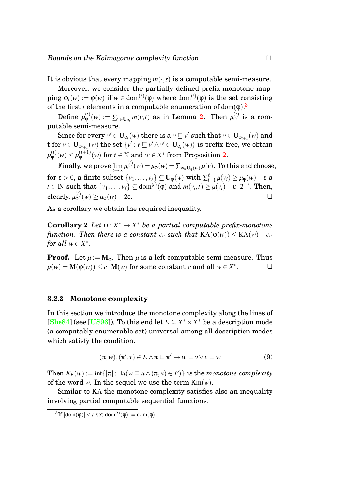It is obvious that every mapping  $m(\cdot,s)$  is a computable semi-measure.

Moreover, we consider the partially defined prefix-monotone map- $\mathsf{ping}\ \varphi_t(w) := \varphi(w) \text{ if } w \in \text{dom}^{(t)}(\varphi) \text{ where } \text{dom}^{(t)}(\varphi) \text{ is the set consisting }$ of the first *t* elements in a computable enumeration of dom( $\phi$ ).<sup>[3](#page-11-1)</sup>

 $\text{Define }\mu_{\mathsf{\Phi}}^{(t)}(w):=\sum_{v\in \mathbf{U}_{\mathsf{\Phi}_t}}m(v,t) \,\text{ as in Lemma 2. Then }\mu_{\mathsf{\Phi}}^{(t)} \,\text{ is a com-}$  $\text{Define }\mu_{\mathsf{\Phi}}^{(t)}(w):=\sum_{v\in \mathbf{U}_{\mathsf{\Phi}_t}}m(v,t) \,\text{ as in Lemma 2. Then }\mu_{\mathsf{\Phi}}^{(t)} \,\text{ is a com-}$  $\text{Define }\mu_{\mathsf{\Phi}}^{(t)}(w):=\sum_{v\in \mathbf{U}_{\mathsf{\Phi}_t}}m(v,t) \,\text{ as in Lemma 2. Then }\mu_{\mathsf{\Phi}}^{(t)} \,\text{ is a com-}$ putable semi-measure.

Since for every  $v' \in U_{\varphi_l}(w)$  there is a  $v \sqsubseteq v'$  such that  $v \in U_{\varphi_{l+1}}(w)$  and t for  $v \in U_{\phi_{t+1}}(w)$  the set  $\{v': v \sqsubseteq v' \wedge v' \in U_{\phi_t}(w)\}$  is prefix-free, we obtain  $\mu^{(t)}_{\mathsf{\Phi}}(w) \leq \mu^{(t+1)}_{\mathsf{\Phi}}(w) \text{ for } t \in \mathbb{N} \text{ and } w \in X^{\ast} \text{ from Proposition 2.}$  $\mu^{(t)}_{\mathsf{\Phi}}(w) \leq \mu^{(t+1)}_{\mathsf{\Phi}}(w) \text{ for } t \in \mathbb{N} \text{ and } w \in X^{\ast} \text{ from Proposition 2.}$  $\mu^{(t)}_{\mathsf{\Phi}}(w) \leq \mu^{(t+1)}_{\mathsf{\Phi}}(w) \text{ for } t \in \mathbb{N} \text{ and } w \in X^{\ast} \text{ from Proposition 2.}$ 

Finally, we prove  $\lim_{t\to\infty}\mu_{\phi}^{(t)}(w) = \mu_{\phi}(w) = \sum_{v\in\mathbf{U}_{\phi}(w)}\mu(v)$ . To this end choose,  $\text{for } \epsilon > 0, \text{ a finite subset } \{v_1, \ldots, v_\ell\} \subseteq \mathbf{U}_\phi(w) \text{ with } \sum_{i=1}^\ell \mu(v_i) \geq \mu_\phi(w) - \epsilon \text{ a }$  $t \in \mathbb{N}$  such that  $\{v_1, \ldots, v_\ell\} \subseteq \text{dom}^{(t)}(\mathfrak{g})$  and  $m(v_i, t) \geq \mu(v_i) - \epsilon \cdot 2^{-i}$ . Then, clearly,  $\mu_{\varphi}^{(t)}(w) \ge \mu_{\varphi}(w) - 2\varepsilon$ .

<span id="page-11-3"></span>As a corollary we obtain the required inequality.

**Corollary 2** *Let*  $\varphi: X^* \to X^*$  *be a partial computable prefix-monotone function. Then there is a constant*  $c_{\varphi}$  *such that*  $KA(\varphi(w)) \leq KA(w) + c_{\varphi}$ *for all*  $w \in X^*$ .

**Proof.** Let  $\mu := M_{\omega}$ . Then  $\mu$  is a left-computable semi-measure. Thus  $\mu(w) = \mathbf{M}(\varphi(w)) \leq c \cdot \mathbf{M}(w)$  for some constant *c* and all  $w \in X^*$  $\Box$ 

#### <span id="page-11-0"></span>**3.2.2 Monotone complexity**

In this section we introduce the monotone complexity along the lines of [\[She84\]](#page-27-6) (see [\[US96\]](#page-29-0)). To this end let  $E \subseteq X^* \times X^*$  be a description mode (a computably enumerable set) universal among all description modes which satisfy the condition.

<span id="page-11-4"></span><span id="page-11-2"></span>
$$
(\pi, w), (\pi', v) \in E \land \pi \sqsubseteq \pi' \to w \sqsubseteq v \lor v \sqsubseteq w \tag{9}
$$

Then  $K_E(w) := \inf\{|\pi| : \exists u (w \sqsubseteq u \land (\pi, u) \in E)\}\$ is the *monotone complexity* of the word *w*. In the sequel we use the term Km(*w*).

Similar to KA the monotone complexity satisfies also an inequality involving partial computable sequential functions.

<span id="page-11-1"></span> ${}^{3}\mathrm{If}\left|\mathrm{dom}(\phi)\right| < t \text{ set }\mathrm{dom}^{(t)}(\phi):=\mathrm{dom}(\phi)$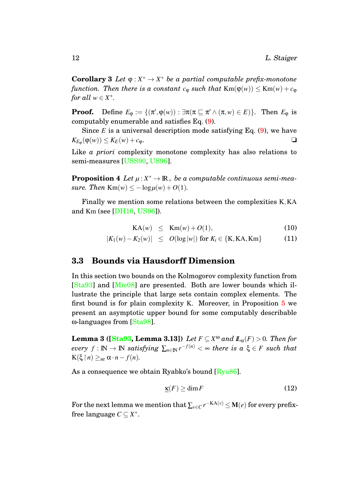**Corollary 3** *Let*  $\varphi: X^* \to X^*$  *be a partial computable prefix-monotone function. Then there is a constant*  $c_{\varphi}$  *such that*  $\text{Km}(\varphi(w)) \leq \text{Km}(w) + c_{\varphi}$ *for all*  $w \in X^*$ .

**Proof.** Define  $E_{\varphi} := \{(\pi', \varphi(w)) : \exists \pi(\pi \sqsubseteq \pi' \land (\pi, w) \in E)\}.$  Then  $E_{\varphi}$  is computably enumerable and satisfies Eq. [\(9\)](#page-11-2).

Since  $E$  is a universal description mode satisfying Eq.  $(9)$ , we have  $K_{E_{\varphi}}(\varphi(w)) \leq K_E(w) + c_{\varphi}.$ 

Like *a priori* complexity monotone complexity has also relations to semi-measures [\[USS90,](#page-29-2) [US96\]](#page-29-0).

**Proposition 4** Let  $\mu: X^* \to \mathbb{R}_+$  be a computable continuous semi-mea*sure.* Then  $\text{Km}(w) \leq -\log \mu(w) + O(1)$ .

Finally we mention some relations between the complexities K,KA and Km (see [\[DH10,](#page-26-4) [US96\]](#page-29-0)).

<span id="page-12-2"></span>
$$
KA(w) \le Km(w) + O(1), \tag{10}
$$

$$
|K_1(w) - K_2(w)| \leq O(\log |w|) \text{ for } K_i \in \{K, KA, Km\}
$$
 (11)

#### <span id="page-12-0"></span>**3.3 Bounds via Hausdorff Dimension**

In this section two bounds on the Kolmogorov complexity function from [\[Sta93\]](#page-28-0) and [\[Mie08\]](#page-27-7) are presented. Both are lower bounds which illustrate the principle that large sets contain complex elements. The first bound is for plain complexity K. Moreover, in Proposition [5](#page-13-1) we present an asymptotic upper bound for some computably describable ω-languages from [\[Sta98\]](#page-28-1).

**Lemma 3 ([\[Sta93,](#page-28-0) Lemma 3.13])** *Let*  $F \subseteq X^{\omega}$  and  $\mathbb{L}_{\alpha}(F) > 0$ *. Then for*  $every f : \mathbb{N} \to \mathbb{N}$  *satisfying*  $\sum_{n \in \mathbb{N}} r^{-f(n)} < \infty$  *there is a*  $\xi \in F$  *such that*  $K(\xi \mid n) \geq_{\text{ae}} \alpha \cdot n - f(n).$ 

As a consequence we obtain Ryabko's bound  $\left[\frac{Rya86}{\right]}$ .

<span id="page-12-1"></span>
$$
\underline{\kappa}(F) \ge \dim F \tag{12}
$$

For the next lemma we mention that  $\sum_{v \in C} r^{-KA(v)} \leq \mathbf{M}(e)$  for every prefixfree language *C* ⊆ *X*<sup>\*</sup>.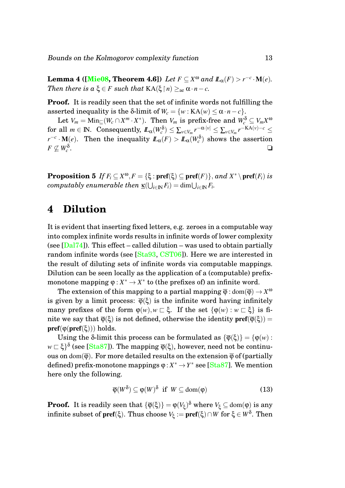**Lemma 4 ([\[Mie08,](#page-27-7) Theorem 4.6])** *Let*  $F \subseteq X^{\omega}$  *and*  $\mathbb{L}_{\alpha}(F) > r^{-c} \cdot M(e)$ *. Then there is a*  $\xi \in F$  *such that*  $KA(\xi \mid n) >_{ae} \alpha \cdot n - c$ *.* 

**Proof.** It is readily seen that the set of infinite words not fulfilling the asserted inequality is the δ-limit of  $W_c = \{w : KA(w) \le \alpha \cdot n - c\}.$ 

 $\text{Let } V_m = \text{Min}_{\sqsubseteq} (W_c \cap X^m \cdot X^*). \ \ \text{Then } V_m \ \text{is prefix-free and } W_c^{\delta} \subseteq V_m X^{\omega}.$  $\mathcal{L}_{\alpha}(W_c^{\delta}) \leq \sum_{v \in V_m} r^{-\alpha |\nu|} \leq \sum_{v \in V_m} r^{-\mathrm{KA}(v)-c} \leq \frac{1}{\alpha}$ *r*<sup>−*c*</sup> · **M**(*e*). Then the inequality  $I\!\!L_{\alpha}(F) > I\!\!L_{\alpha}(W_c^{\delta})$  shows the assertion  $F \not\subseteq W_c^{\delta}$ . ❏

<span id="page-13-1"></span>**Proposition 5** *If*  $F_i \subseteq X^{\omega}, F = \{\xi : \text{pref}(\xi) \subseteq \text{pref}(F)\}, and X^* \setminus \text{pref}(F_i)$  *is*  $\mathbf{f}( \bigcup_{i \in \mathbb{N}} F_i ) = \dim \bigcup_{i \in \mathbb{N}} F_i.$ 

## <span id="page-13-0"></span>**4 Dilution**

It is evident that inserting fixed letters, e.g. zeroes in a computable way into complex infinite words results in infinite words of lower complexity (see  $\left[\text{Dal74}\right]$ ). This effect – called dilution – was used to obtain partially random infinite words (see [\[Sta93,](#page-28-0) [CST06\]](#page-26-2)). Here we are interested in the result of diluting sets of infinite words via computable mappings. Dilution can be seen locally as the application of a (computable) prefixmonotone mapping  $\varphi: X^* \to X^*$  to (the prefixes of) an infinite word.

The extension of this mapping to a partial mapping  $\overline{\phi}$  : dom $(\overline{\phi})$   $\rightarrow$   $X^{\omega}$ is given by a limit process:  $\overline{\varphi}(\xi)$  is the infinite word having infinitely many prefixes of the form  $\varphi(w), w \in \xi$ . If the set  $\{\varphi(w): w \in \xi\}$  is finite we say that  $\overline{\varphi}(\xi)$  is not defined, otherwise the identity  $\text{pref}(\overline{\varphi}(\xi)) =$  $pref(\varphi(\mathbf{pref}(\xi)))$  holds.

Using the  $\delta$ -limit this process can be formulated as  $\{\overline{\phi}(\xi)\} = \{\phi(w):$  $w \sqsubset \xi\}^{\delta}$  (see [\[Sta87\]](#page-27-4)). The mapping  $\overline{\phi}(\xi)$ , however, need not be continuous on dom( $\overline{\varphi}$ ). For more detailed results on the extension  $\overline{\varphi}$  of (partially defined) prefix-monotone mappings  $\varphi: X^* \to Y^*$  see [\[Sta87\]](#page-27-4). We mention here only the following.

<span id="page-13-2"></span>
$$
\overline{\varphi}(W^{\delta}) \subseteq \varphi(W)^{\delta} \text{ if } W \subseteq \text{dom}(\varphi) \tag{13}
$$

**Proof.** It is readily seen that  $\{\overline{\phi}(\xi)\} = \phi(V_{\xi})^{\delta}$  where  $V_{\xi} \subseteq \text{dom}(\phi)$  is any  $\text{infinite subset of }\text{pref}(\xi). \text{ Thus choose } V_\xi:=\textbf{pref}(\xi)\cap W \text{ for }\xi\in W^\delta. \text{ Then}$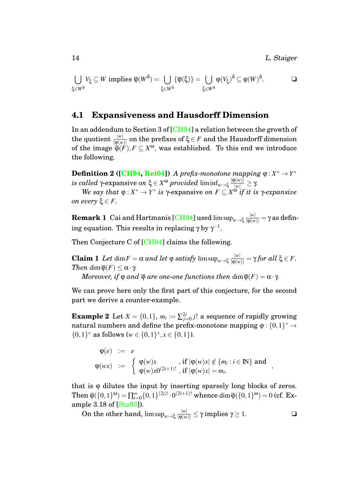14 L. Staiger

,

$$
\bigcup_{\xi \in W^\delta} V_\xi \subseteq W \text{ implies } \overline{\varphi}(W^\delta) = \bigcup_{\xi \in W^\delta} \{\overline{\varphi}(\xi)\} = \bigcup_{\xi \in W^\delta} \varphi(V_\xi)^\delta \subseteq \varphi(W)^\delta. \qquad \Box
$$

#### <span id="page-14-0"></span>**4.1 Expansiveness and Hausdorff Dimension**

In an addendum to Section 3 of [\[CH94\]](#page-26-0) a relation between the growth of  ${\sf the \,\, quotient \,\,}^{|w|}_{\, [\phi(w)]}$  on the prefixes of  $\xi \in F$  and the Hausdorff dimension of the image  $\overline{\varphi}(F)$ ,  $F \subseteq X^{\omega}$ , was established. To this end we introduce the following.

**Definition 2 ([\[CH94,](#page-26-0) [Rei04\]](#page-27-8))** A prefix-monotone mapping  $\varphi: X^* \to Y^*$  $i$ *s called* γ-expansive *on* ξ  $\in$  *X*<sup>ω</sup>  $provided$  liminf $_{w\rightarrow \xi}\frac{|\phi(w)|}{|w|}\geq \gamma$ .

*We say that*  $\varphi: X^* \to Y^*$  *is*  $\gamma$ -expansive *on*  $F \subseteq X^{\omega}$  *if it is*  $\gamma$ -expansive *on every* ξ ∈ *F*.

 ${\bf Remark~1~}$  Cai and Hartmanis [\[CH94\]](#page-26-0) used lim sup $_{w\to \xi}\frac{|w|}{|\phi(w)|} =$  γ as defining equation. This results in replacing  $\gamma$  by  $\gamma^{-1}$ .

Then Conjecture C of [\[CH94\]](#page-26-0) claims the following.

**Claim 1** *Let* dim  $F = \alpha$  *and let*  $\varphi$  *satisfy* lim  $\sup_{w \to \xi} \frac{|w|}{|\varphi(w)|} = \gamma$  for all  $\xi \in F$ . *Then* dim $\overline{\varphi}(F) \leq \alpha \cdot \gamma$ *. Moreover, if*  $\varphi$  *and*  $\overline{\varphi}$  *are one-one functions then* dim $\overline{\varphi}(F) = \alpha \cdot \gamma$ *.* 

We can prove here only the first part of this conjecture, for the second part we derive a counter-example.

**Example 2** Let  $X = \{0, 1\}$ ,  $m_i := \sum_{j=0}^{2i} j!$  a sequence of rapidly growing natural numbers and define the prefix-monotone mapping  $\varphi: \{0,1\}^* \to$ {0,1}<sup>\*</sup> as follows (*w* ∈ {0,1}<sup>\*</sup>, *x* ∈ {0,1}).

$$
\varphi(e) := e
$$
  
\n
$$
\varphi(wx) := \begin{cases}\n\varphi(w)x, & \text{if } |\varphi(w)x| \notin \{m_i : i \in \mathbb{N}\} \text{ and } \\
\varphi(w)x0^{(2i+1)!}, & \text{if } |\varphi(w)x| = m_i.\n\end{cases}
$$

that is  $\varphi$  dilutes the input by inserting sparsely long blocks of zeros. Then  $\overline{\varphi}(\{0,1\}^{\omega}) = \prod_{i=0}^{\infty} \{0,1\}^{(2i)!} \cdot 0^{(2i+1)!}$  whence  $\dim \overline{\varphi}(\{0,1\}^{\omega}) = 0$  (cf. Example 3.18 of [\[Sta93\]](#page-28-0)).

On the other hand,  $\limsup_{w \to \xi} \frac{|w|}{|\varphi(w)|} \leq \gamma$  implies  $\gamma \geq 1$ .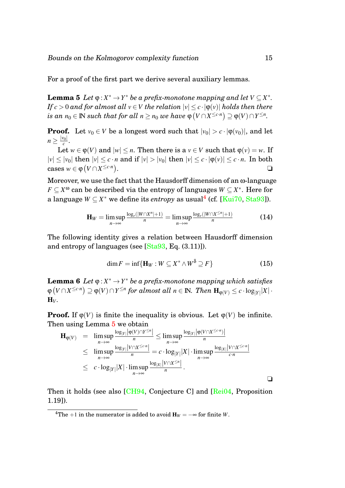<span id="page-15-1"></span>For a proof of the first part we derive several auxiliary lemmas.

**Lemma 5** *Let*  $\varphi: X^* \to Y^*$  *be a prefix-monotone mapping and let*  $V \subseteq X^*$ *. If*  $c > 0$  *and for almost all*  $v \in V$  *the relation*  $|v| \le c \cdot |\phi(v)|$  *holds then there*  $i$ *s an*  $n_0 \in \mathbb{N}$  *such that for all*  $n \geq n_0$  *we have*  $\mathsf{\phi}\left(V \cap X^{\leq c \cdot n}\right) \supseteq \mathsf{\phi}(V) \cap Y^{\leq n}.$ 

**Proof.** Let  $v_0 \in V$  be a longest word such that  $|v_0| > c \cdot |\phi(v_0)|$ , and let  $n \geq \frac{|v_0|}{c}$  $\frac{r_{0\parallel}}{c}$ .

Let  $w \in \varphi(V)$  and  $|w| \leq n$ . Then there is a  $v \in V$  such that  $\varphi(v) = w$ . If  $|v| \le |v_0|$  then  $|v| \le c \cdot n$  and if  $|v| > |v_0|$  then  $|v| \le c \cdot |\varphi(v)| \le c \cdot n$ . In both  $\text{cases } w \in \varphi \left( V \cap X^{\leq c \cdot n} \right)$ . ❏

Moreover, we use the fact that the Hausdorff dimension of an ω-language  $F \subseteq X^{\omega}$  can be described via the entropy of languages  $W \subseteq X^*$ . Here for a language  $W \subseteq X^*$  we define its  $entropy$  as usual $^4$  $^4$  (cf. [\[Kui70,](#page-27-9) [Sta93\]](#page-28-0)).

$$
\mathbf{H}_{W} = \limsup_{n \to \infty} \frac{\log_{r}(|W \cap X^{n}| + 1)}{n} = \limsup_{n \to \infty} \frac{\log_{r}(|W \cap X^{\leq n}| + 1)}{n}
$$
(14)

The following identity gives a relation between Hausdorff dimension and entropy of languages (see [\[Sta93,](#page-28-0) Eq. (3.11)]).

<span id="page-15-2"></span>
$$
\dim F = \inf \{ \mathbf{H}_W : W \subseteq X^* \wedge W^{\delta} \supseteq F \} \tag{15}
$$

<span id="page-15-3"></span>**Lemma 6** *Let*  $\varphi: X^* \to Y^*$  *be a prefix-monotone mapping which satisfies*  $\varphi\left(V\cap X^{\leq c\cdot n}\right)\supseteq\varphi(V)\cap Y^{\leq n}$  for almost all  $n\in{\rm I\!N}\!\!$ . Then  ${\bf H}_{\varphi(V)}\leq c\cdot\log_{|Y|}|X|\cdot$  $H_V$ .

**Proof.** If  $\varphi(V)$  is finite the inequality is obvious. Let  $\varphi(V)$  be infinite. Then using Lemma [5](#page-15-1) we obtain

$$
\mathbf{H}_{\varphi(V)} = \limsup_{n \to \infty} \frac{\log_{|Y|} |\varphi(V) \cap Y^{\le n}|}{n} \le \limsup_{n \to \infty} \frac{\log_{|Y|} |\varphi(V \cap X^{\le c \cdot n})|}{n}
$$
  
\n
$$
\le \limsup_{n \to \infty} \frac{\log_{|Y|} |V \cap X^{\le c \cdot n}|}{n} = c \cdot \log_{|Y|} |X| \cdot \limsup_{n \to \infty} \frac{\log_{|X|} |V \cap X^{\le c \cdot n}|}{c \cdot n}
$$
  
\n
$$
\le c \cdot \log_{|Y|} |X| \cdot \limsup_{n \to \infty} \frac{\log_{|X|} |V \cap X^{\le n}|}{n}.
$$

<span id="page-15-4"></span>Then it holds (see also [\[CH94,](#page-26-0) Conjecture C] and [\[Rei04,](#page-27-8) Proposition] 1.19]).

<span id="page-15-0"></span><sup>&</sup>lt;sup>4</sup>The +1 in the numerator is added to avoid  $H_W = -\infty$  for finite *W*.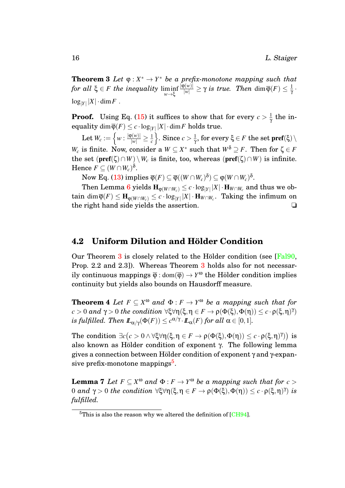**Theorem 3** Let  $\varphi: X^* \to Y^*$  be a prefix-monotone mapping such that *for all* ξ ∈ *F the inequality* liminf *w*→ξ  $\frac{|\Phi(w)|}{|w|} \geq \gamma$  *is true. Then* dim $\overline{\phi}(F) \leq \frac{1}{\gamma}$ γ ·  $\log_{|Y|} |X| \cdot \dim F$  .

**Proof.** Using Eq. [\(15\)](#page-15-2) it suffices to show that for every  $c > \frac{1}{\gamma}$  $\frac{1}{\gamma}$  the in- ${\rm equality\,\,dim} \,\overline{\phi}(F) \leq c \cdot \log_{|Y|} |X| \cdot \dim F \,\,{\rm holds}\,\, \mathbf{true}.$ 

Let  $W_c := \left\{ w : \frac{|\varphi(w)|}{|w|} \geq \frac{1}{c} \right\}$ *c*  $\cos c$  >  $\frac{1}{\gamma}$  $\frac{1}{\gamma}$ , for every  $\xi \in F$  the set  $\textbf{pref}(\xi)\setminus\mathbb{R}$ *W<sub>c</sub>* is finite. Now, consider a  $W \subseteq X^*$  such that  $W^{\delta} \supseteq F$ . Then for  $\zeta \in F$ the set  $(\text{pref}(\zeta) \cap W) \setminus W_c$  is finite, too, whereas  $(\text{pref}(\zeta) \cap W)$  is infinite. Hence  $F \subseteq (W \cap W_c)^{\delta}$ .

 $\text{Now Eq. (13) implies } \overline{\varphi}(F) \subseteq \overline{\varphi}((W \cap W_c)^{\delta}) \subseteq \varphi(W \cap W_c)^{\delta}.$  $\text{Now Eq. (13) implies } \overline{\varphi}(F) \subseteq \overline{\varphi}((W \cap W_c)^{\delta}) \subseteq \varphi(W \cap W_c)^{\delta}.$  $\text{Now Eq. (13) implies } \overline{\varphi}(F) \subseteq \overline{\varphi}((W \cap W_c)^{\delta}) \subseteq \varphi(W \cap W_c)^{\delta}.$ 

 $\text{Then Lemma 6 yields } \mathbf{H}_{\phi(W \cap W_c)} \leq c \cdot \log_{|Y|} |X| \cdot \mathbf{H}_{W \cap W_c} \text{ and thus we obtain } \mathbf{H}_{\phi(W \cap W_c)} \leq c \cdot \log_{|Y|} |X| \cdot \mathbf{H}_{W \cap W_c} \text{ and thus we obtain } \mathbf{H}_{\phi(W \cap W_c)} \leq c \cdot \log_{|Y|} |X| \cdot \mathbf{H}_{W \cap W_c} \text{ and thus we obtain } \mathbf{H}_{\phi(W \cap W_c)} \leq c \cdot \log_{|Y|} |X| \cdot \mathbf{H}_{W \cap W_c} \text{ and thus we obtain } \mathbf$  $\text{Then Lemma 6 yields } \mathbf{H}_{\phi(W \cap W_c)} \leq c \cdot \log_{|Y|} |X| \cdot \mathbf{H}_{W \cap W_c} \text{ and thus we obtain } \mathbf{H}_{\phi(W \cap W_c)} \leq c \cdot \log_{|Y|} |X| \cdot \mathbf{H}_{W \cap W_c} \text{ and thus we obtain } \mathbf{H}_{\phi(W \cap W_c)} \leq c \cdot \log_{|Y|} |X| \cdot \mathbf{H}_{W \cap W_c} \text{ and thus we obtain } \mathbf{H}_{\phi(W \cap W_c)} \leq c \cdot \log_{|Y|} |X| \cdot \mathbf{H}_{W \cap W_c} \text{ and thus we obtain } \mathbf$  $\text{Then Lemma 6 yields } \mathbf{H}_{\phi(W \cap W_c)} \leq c \cdot \log_{|Y|} |X| \cdot \mathbf{H}_{W \cap W_c} \text{ and thus we obtain } \mathbf{H}_{\phi(W \cap W_c)} \leq c \cdot \log_{|Y|} |X| \cdot \mathbf{H}_{W \cap W_c} \text{ and thus we obtain } \mathbf{H}_{\phi(W \cap W_c)} \leq c \cdot \log_{|Y|} |X| \cdot \mathbf{H}_{W \cap W_c} \text{ and thus we obtain } \mathbf{H}_{\phi(W \cap W_c)} \leq c \cdot \log_{|Y|} |X| \cdot \mathbf{H}_{W \cap W_c} \text{ and thus we obtain } \mathbf$  $\tan\dim\overline{\phi}(F)\leq \mathbf{H}_{\phi(W\cap W_c)}\leq c\cdot\log_{|Y|}|X|\cdot\mathbf{H}_{W\cap W_c}.$  Taking the infimum on the right hand side yields the assertion. ❏

#### <span id="page-16-0"></span>**4.2 Uniform Dilution and Hölder Condition**

Our Theorem  $3$  is closely related to the Hölder condition (see [ $False$ ], Prop. 2.2 and 2.3]). Whereas Theorem [3](#page-15-4) holds also for not necessarily continuous mappings  $\overline{\varphi}$  : dom $(\overline{\varphi}) \to Y^{\omega}$  the Hölder condition implies continuity but yields also bounds on Hausdorff measure.

<span id="page-16-3"></span>**Theorem 4** Let  $F \subseteq X^{\omega}$  and  $\Phi : F \to Y^{\omega}$  be a mapping such that for  $c > 0$  and  $γ > 0$  the condition  $\forall ξ \forall η (ξ, η ∈ F → ρ(Φ(ξ), Φ(η)) ≤ c ⋅ ρ(ξ, η)η)$  $i$ *s fulfilled. Then*  $I\!\!L_{\alpha/\gamma}(\Phi(F)) \leq c^{\alpha/\gamma} \cdot I\!\!L_{\alpha}(F)$  *for all*  $\alpha \in [0,1].$ 

The condition  $\exists c (c > 0 \land \forall \xi \forall \eta(\xi, \eta \in F \to \rho(\Phi(\xi), \Phi(\eta))) \leq c \cdot \rho(\xi, \eta)^\gamma)$  is also known as Hölder condition of exponent  $\gamma$ . The following lemma gives a connection between Hölder condition of exponent  $\gamma$  and  $\gamma$ -expan-sive prefix-monotone mappings<sup>[5](#page-16-1)</sup>.

<span id="page-16-2"></span>**Lemma 7** *Let*  $F \subseteq X^{\omega}$  and  $\Phi : F \to Y^{\omega}$  be a mapping such that for  $c >$ 0 *and* γ > 0 *the condition* ∀ξ∀η(ξ,η ∈ *F* → ρ(Φ(ξ),Φ(η)) ≤ *c* · ρ(ξ,η) γ ) *is fulfilled.*

<span id="page-16-1"></span> $5$ This is also the reason why we altered the definition of [\[CH94\]](#page-26-0).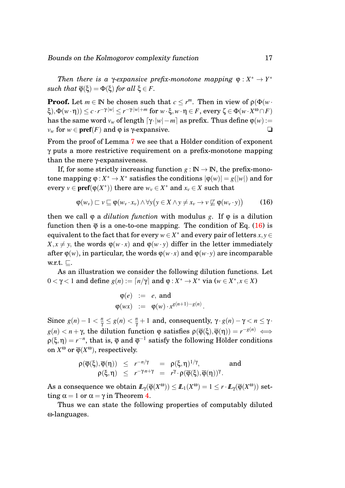*Then there is a*  $\gamma$ *-expansive prefix-monotone mapping*  $\varphi: X^* \to Y^*$ *such that*  $\overline{\varphi}(\xi) = \Phi(\xi)$  *for all*  $\xi \in F$ *.* 

**Proof.** Let  $m \in \mathbb{N}$  be chosen such that  $c \leq r^m$ . Then in view of  $\rho(\Phi(w \cdot$  $\mathcal{F}(\xi), \Phi(w \cdot \eta)) \leq c \cdot r^{-\gamma \cdot |w|} \leq r^{-\gamma \cdot |w| + m} \text{ for } w \cdot \xi, w \cdot \eta \in F, \text{ every } \zeta \in \Phi(w \cdot X^\omega \cap F).$ has the same word  $v_w$  of length  $\left[\gamma \cdot |w| - m\right]$  as prefix. Thus define  $\varphi(w) :=$  $v_w$  for  $w \in \text{pref}(F)$  and  $\varphi$  is  $\gamma$ -expansive.  $\Box$ 

From the proof of Lemma [7](#page-16-2) we see that a Hölder condition of exponent γ puts a more restrictive requirement on a prefix-monotone mapping than the mere γ-expansiveness.

If, for some strictly increasing function  $g : \mathbb{N} \to \mathbb{N}$ , the prefix-monotone mapping  $\varphi: X^* \to X^*$  satisfies the conditions  $|\varphi(w)| = g(|w|)$  and for every  $v \in \text{pref}(\varphi(X^*))$  there are  $w_v \in X^*$  and  $x_v \in X$  such that

<span id="page-17-0"></span>
$$
\varphi(w_v) \sqsubset v \sqsubseteq \varphi(w_v \cdot x_v) \land \forall y (y \in X \land y \neq x_v \to v \not\sqsubseteq \varphi(w_v \cdot y)) \tag{16}
$$

then we call  $\varphi$  a *dilution function* with modulus *g*. If  $\varphi$  is a dilution function then  $\overline{\varphi}$  is a one-to-one mapping. The condition of Eq. [\(16\)](#page-17-0) is equivalent to the fact that for every  $w \in X^*$  and every pair of letters  $x, y \in Y^*$  $X, x \neq y$ , the words  $\varphi(w \cdot x)$  and  $\varphi(w \cdot y)$  differ in the letter immediately after  $\varphi(w)$ , in particular, the words  $\varphi(w \cdot x)$  and  $\varphi(w \cdot y)$  are incomparable w.r.t.  $\sqsubseteq$ .

As an illustration we consider the following dilution functions. Let  $0 < \gamma < 1$  and define  $g(n) := \lceil n/\gamma \rceil$  and  $\varphi : X^* \to X^*$  via ( $w \in X^*, x \in X$ )

$$
\varphi(e) := e, \text{ and}
$$
  

$$
\varphi(wx) := \varphi(w) \cdot x^{g(n+1)-g(n)}.
$$

Since  $g(n) - 1 < \frac{n}{\gamma} \le g(n) < \frac{n}{\gamma} + 1$  and, consequently,  $\gamma \cdot g(n) - \gamma < n \le \gamma$ . *g*(*n*) < *n* + γ, the dilution function φ satisfies  $ρ(φ(ξ), φ(η)) = r^{-g(n)}$  ←  $\rho(\xi,\eta)=r^{-n},$  that is,  $\overline{\varphi}$  and  $\overline{\varphi}^{-1}$  satisfy the following Hölder conditions on  $X^{\omega}$  or  $\overline{\varphi}(X^{\omega})$ , respectively.

$$
\begin{array}{rcl}\n\rho(\overline{\varphi}(\xi),\overline{\varphi}(\eta)) & \leq & r^{-n/\gamma} & = & \rho(\xi,\eta)^{1/\gamma}, \\
\rho(\xi,\eta) & \leq & r^{-\gamma n+\gamma} & = & r^{\gamma} \cdot \rho(\overline{\varphi}(\xi),\overline{\varphi}(\eta))^{\gamma}.\n\end{array}\n\quad \text{and} \quad
$$

 $\text{As a consequence we obtain } \mathcal{I}_{\gamma}(\overline{\varphi}(X^{\omega})) \leq \mathcal{I}_{1}(X^{\omega}) = 1 \leq r \cdot \mathcal{I}_{\gamma}(\overline{\varphi}(X^{\omega})) \text{ set-}$ ting  $\alpha = 1$  or  $\alpha = \gamma$  in Theorem [4.](#page-16-3)

<span id="page-17-1"></span>Thus we can state the following properties of computably diluted ω-languages.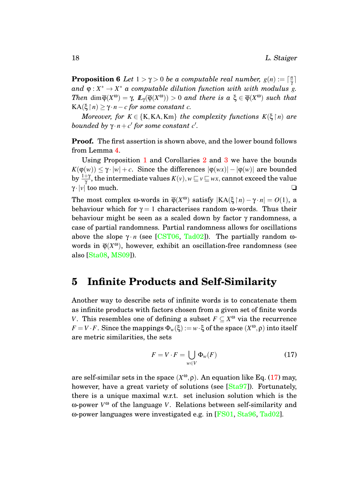**Proposition 6** *Let*  $1 > \gamma > 0$  *be a computable real number,*  $g(n) := \lceil \frac{n}{\gamma} \rceil$  $\frac{n}{\gamma}$ ]  $\alpha$   $\alpha$   $\beta$  :  $X^* \rightarrow X^*$   $\alpha$  computable dilution function with with modulus  $g$ . *Then* dim $\overline{\phi}(X^{\omega}) = \gamma$ ,  $\mathbb{L}_{\gamma}(\overline{\phi}(X^{\omega})) > 0$  and there is  $a \xi \in \overline{\phi}(X^{\omega})$  such that  $KA(ξ|n) ≥ γ·n − c$  *for some constant c*.

*Moreover, for*  $K \in \{K, KA, Km\}$  *the complexity functions*  $K(\xi \mid n)$  *are bounded by*  $\gamma \cdot n + c'$  for some constant  $c'$ .

**Proof.** The first assertion is shown above, and the lower bound follows from Lemma [4.](#page-12-1)

Using Proposition [1](#page-7-0) and Corollaries [2](#page-11-3) and [3](#page-11-4) we have the bounds  $K(\varphi(w)) \leq \gamma \cdot |w| + c$ . Since the differences  $|\varphi(wx)| - |\varphi(w)|$  are bounded by  $\frac{1+\gamma}{\gamma}$ , the intermediate values  $K(v), w$   $\sqsubseteq$   $v$   $\sqsubseteq$   $wx,$  cannot exceed the value  $\gamma \cdot |v|$  too much.  $\Box$ 

The most complex ω-words in  $\overline{\varphi}(X^{\omega})$  satisfy  $|KA(\xi|n) - \gamma \cdot n| = O(1)$ , a behaviour which for  $\gamma = 1$  characterises random  $\omega$ -words. Thus their behaviour might be seen as a scaled down by factor γ randomness, a case of partial randomness. Partial randomness allows for oscillations above the slope  $\gamma \cdot n$  (see [\[CST06,](#page-26-2) [Tad02\]](#page-28-3)). The partially random  $\omega$ words in  $\overline{\varphi}(X^{\omega})$ , however, exhibit an oscillation-free randomness (see also [\[Sta08,](#page-28-6) [MS09\]](#page-27-3)).

## <span id="page-18-0"></span>**5 Infinite Products and Self-Similarity**

Another way to describe sets of infinite words is to concatenate them as infinite products with factors chosen from a given set of finite words *V*. This resembles one of defining a subset  $F \subseteq X^{\omega}$  via the recurrence *F* = *V* · *F*. Since the mappings  $\Phi_w(\xi) := w \cdot \xi$  of the space  $(X^{\omega}, \rho)$  into itself are metric similarities, the sets

<span id="page-18-1"></span>
$$
F = V \cdot F = \bigcup_{w \in V} \Phi_w(F) \tag{17}
$$

are self-similar sets in the space  $(X^{\omega}, \rho)$ . An equation like Eq. [\(17\)](#page-18-1) may, however, have a great variety of solutions (see [\[Sta97\]](#page-28-5)). Fortunately, there is a unique maximal w.r.t. set inclusion solution which is the  $\omega$ -power  $V^{\omega}$  of the language *V*. Relations between self-similarity and ω-power languages were investigated e.g. in [\[FS01,](#page-27-10) [Sta96,](#page-28-7) [Tad02\]](#page-28-3).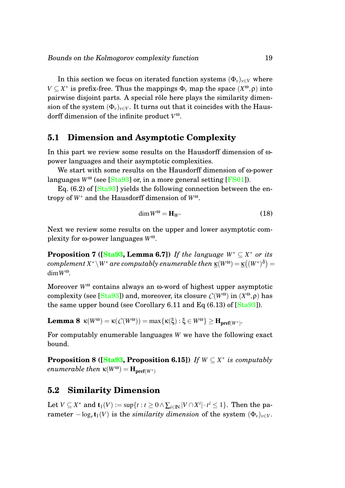In this section we focus on iterated function systems  $(\Phi_v)_{v \in V}$  where  $V \subseteq X^*$  is prefix-free. Thus the mappings  $\Phi_\nu$  map the space  $(X^\omega, \rho)$  into pairwise disjoint parts. A special rôle here plays the similarity dimension of the system  $(\Phi_v)_{v \in V}$ . It turns out that it coincides with the Hausdorff dimension of the infinite product *V* ω.

#### <span id="page-19-0"></span>**5.1 Dimension and Asymptotic Complexity**

In this part we review some results on the Hausdorff dimension of ωpower languages and their asymptotic complexities.

We start with some results on the Hausdorff dimension of ω-power languages  $W^{\omega}$  (see [\[Sta93\]](#page-28-0) or, in a more general setting [\[FS01\]](#page-27-10)).

Eq.  $(6.2)$  of  $[Sta93]$  yields the following connection between the entropy of *W*<sup>∗</sup> and the Hausdorff dimension of *W*ω.

<span id="page-19-2"></span>
$$
\dim W^{\omega} = \mathbf{H}_{W^*} \tag{18}
$$

Next we review some results on the upper and lower asymptotic complexity for ω-power languages *W*ω.

**Proposition 7 ([\[Sta93,](#page-28-0) Lemma 6.7])** If the language  $W^* \subseteq X^*$  or its  $\mathit{complement}\ X^*\backslash W^*$  are  $\mathit{computably}\ enumerable\ then\ \underline{\kappa}(W^{\omega})=\underline{\kappa}\big((W^*)^{\delta}\big)=$  $\dim W^{\omega}$ .

Moreover *W*<sup>ω</sup> contains always an ω-word of highest upper asymptotic complexity (see [\[Sta93\]](#page-28-0)) and, moreover, its closure *C*(*W*ω) in (*X* <sup>ω</sup>,ρ) has the same upper bound (see Corollary 6.11 and Eq (6.13) of [\[Sta93\]](#page-28-0)).

**Lemma 8**  $\kappa(W^{\omega}) = \kappa(C(W^{\omega})) = \max{\kappa(\xi) : \xi \in W^{\omega}\} \geq H_{\text{pref}(W^*)}$ .

<span id="page-19-3"></span>For computably enumerable languages *W* we have the following exact bound.

**Proposition 8 ([\[Sta93,](#page-28-0) Proposition 6.15])** If  $W \subseteq X^*$  is computably *enumerable then*  $\kappa(W^{\omega}) = \mathbf{H}_{\text{pref}(W^*)}$ 

#### <span id="page-19-1"></span>**5.2 Similarity Dimension**

Let  $V \subseteq X^*$  and  $\mathbf{t}_1(V) := \sup\{t : t \geq 0 \land \sum_{i \in \mathbb{N}} |V \cap X^i| \cdot t^i \leq 1\}.$  Then the pa- $\bm{\tau}$  rameter  $-\log_r\bm{{\mathsf{t}}}_1(V)$  is the  $similarity$  dimension of the system  $(\Phi_v)_{v\in V}$ .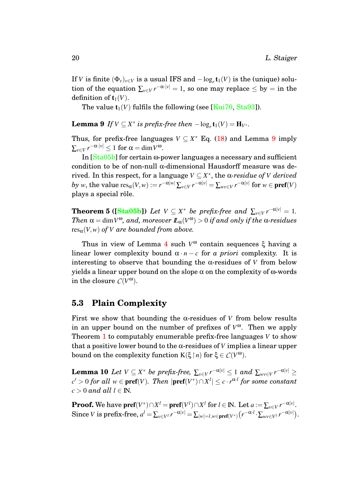If *V* is finite  $(\Phi_v)_{v \in V}$  is a usual IFS and  $-\log_r \mathbf{t}_1(V)$  is the (unique) solution of the equation  $\sum_{v \in V} r^{-\alpha \cdot |v|} = 1$ , so one may replace  $\leq$  by  $=$  in the definition of  $t_1(V)$ .

<span id="page-20-1"></span>The value  $t_1(V)$  fulfils the following (see [\[Kui70,](#page-27-9) [Sta93\]](#page-28-0)).

**Lemma 9** *If*  $V \subseteq X^*$  *is prefix-free then*  $-\log_r \mathbf{t}_1(V) = \mathbf{H}_{V^*}$ *.* 

Thus, for prefix-free languages  $V \subseteq X^*$  Eq. [\(18\)](#page-19-2) and Lemma [9](#page-20-1) imply  $\sum_{v \in V} r^{-\alpha \cdot |v|} \leq 1$  for  $\alpha = \dim V^{\omega}$ .

In [\[Sta05b\]](#page-28-8) for certain ω-power languages a necessary and sufficient condition to be of non-null α-dimensional Hausdorff measure was de- $\mathbf{r}$  rived. In this respect, for a language  $V \subseteq X^*$ , the  $\alpha$ -residue of *V* derived  $by$  *w*, the value  ${\rm res}_\alpha(V,w):= r^{-\alpha|w|}\sum_{v\in V} r^{-\alpha|v|} = \sum_{wv\in V} r^{-\alpha|v|} \text{ for } w\in\textbf{pref}(V)$ plays a special rôle.

<span id="page-20-3"></span>**Theorem 5** ([\[Sta05b\]](#page-28-8)) *Let*  $V \subseteq X^*$  *be prefix-free and*  $\sum_{v \in V} r^{-\alpha|v|} = 1$ *.*  $\pi$  $\alpha$  = dim  $V^{\omega}$ , and, moreover  $I\!\!L_{\alpha}(V^{\omega}) > 0$  *if and only if the*  $\alpha$ -residues  $res_{\alpha}(V,w)$  *of V are bounded from above.* 

Thus in view of Lemma [4](#page-12-1) such *V* <sup>ω</sup> contain sequences ξ having a linear lower complexity bound  $\alpha \cdot n - c$  for *a priori* complexity. It is interesting to observe that bounding the α-residues of *V* from below yields a linear upper bound on the slope α on the complexity of ω-words in the closure  $C(V^{\omega})$ .

#### <span id="page-20-0"></span>**5.3 Plain Complexity**

First we show that bounding the  $\alpha$ -residues of *V* from below results in an upper bound on the number of prefixes of *V* <sup>ω</sup>. Then we apply Theorem [1](#page-7-1) to computably enumerable prefix-free languages *V* to show that a positive lower bound to the α-residues of *V* implies a linear upper bound on the complexity function  $K(\xi \upharpoonright n)$  for  $\xi \in C(V^{\omega})$ .

<span id="page-20-2"></span>Lemma 10 *Let*  $V \subseteq X^*$  *be prefix-free,*  $\sum_{v \in V} r^{-\alpha|v|} \leq 1$  and  $\sum_{wv \in V} r^{-\alpha|v|} \geq$  $c' > 0$  *for all*  $w \in \textbf{pref}(V)$ . Then  $|\textbf{pref}(V^*) \cap X^l| \leq c \cdot r^{\alpha \cdot l}$  *for some constant*  $c > 0$  *and all*  $l \in \mathbb{N}$ .

**Proof.** We have  $\textbf{pref}(V^*)\cap X^l = \textbf{pref}(V^l)\cap X^l$  for  $l\in\mathbb{N}$ . Let  $a:=\sum_{v\in V}r^{-\alpha|v|}.$  $\text{Since } V \text{ is prefix-free, } a^l = \sum_{v \in V^l} r^{-\alpha|v|} = \sum_{|w| = l, w \in \textbf{pref}(V^*)} \left( r^{-\alpha \cdot l} \cdot \sum_{wv \in V^l} r^{-\alpha|v|} \right).$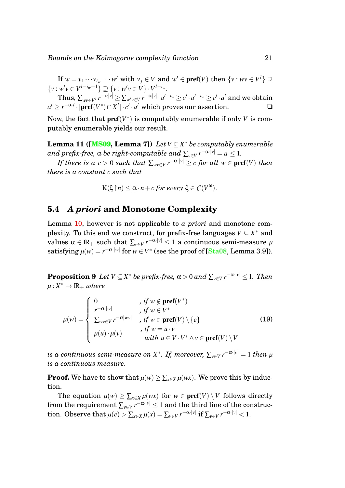$\text{If } w = v_1 \cdots v_{i_w-1} \cdot w' \text{ with } v_j \in V \text{ and } w' \in \textbf{pref}(V) \text{ then } \{v : wv \in V^l\} \supseteq$  $\{v : w'v \in V^{l-i_w+1}\} \supseteq \{v : w'v \in V\} \cdot V^{l-i_w}.$ 

 $\text{Thus, }\sum_{wv\in V^l}r^{-\alpha|v|}\geq \sum_{w'v\in V}r^{-\alpha|v|}\cdot a^{l-i_w}\geq c'\cdot a^{l-i_w}\geq c'\cdot a^l\text{ and we obtain }$  $a^l \geq r^{-\alpha_l l} \cdot |\textbf{pref}(V^*) \cap X^l| \cdot c' \cdot a^l$  which proves our assertion.  $\Box$ 

Now, the fact that  $\text{pref}(V^*)$  is computably enumerable if only *V* is computably enumerable yields our result.

**Lemma 11 ([\[MS09,](#page-27-3) Lemma 7])** *Let V* ⊆ *X* <sup>∗</sup> *be computably enumerable*  $\alpha$  *and prefix-free,*  $\alpha$  *be right-computable and*  $\sum_{v \in V} r^{-\alpha \cdot |v|} = a \leq 1.$ 

*If there is a*  $c > 0$  *such that*  $\sum_{wv \in V} r^{-\alpha \cdot |v|} \ge c$  *for all*  $w \in \textbf{pref}(V)$  *then there is a constant c such that*

$$
K(\xi\upharpoonright n)\leq \alpha\cdot n+c \text{ for every }\xi\in \mathcal{C}(V^{\omega}).
$$

#### <span id="page-21-0"></span>**5.4** *A priori* **and Monotone Complexity**

Lemma [10,](#page-20-2) however is not applicable to *a priori* and monotone complexity. To this end we construct, for prefix-free languages  $V \subseteq X^*$  and  $\text{values} \ \alpha \in \mathbb{R}_+ \ \text{such that} \ \sum_{\nu \in V} r^{-\alpha \cdot |\nu|} \leq 1 \ \text{a continuous semi-measure} \ \mu$ satisfying  $\mu(w) = r^{-\alpha |w|}$  for  $w \in V^*$  (see the proof of [\[Sta08,](#page-28-6) Lemma 3.9]).

<span id="page-21-1"></span> ${\bf Proposition 9} \ \ Let \ V \subseteq X^* \ be \ prefix\text{-}free, \ \alpha > 0 \ and \ \sum_{v \in V} r^{-\alpha \cdot |v|} \leq 1. \ \ Then$  $\mu$  :  $X^* \to \mathbb{R}_+$  *where* 

$$
\mu(w) = \begin{cases}\n0 & , if w \notin \text{pref}(V^*) \\
\int_{V^{-\alpha \cdot |w|}}^{P^{-\alpha \cdot |w|}} f(y) \cdot \int_{V^{-\alpha \cdot |w|}}^{V^{+}} f(y) \cdot \int_{V^{-\alpha \cdot |w|}}^{V^{+}} f(y) \cdot \int_{V^{-\alpha \cdot |w|}}^{V^{+}} f(y) \cdot \int_{V^{-\alpha \cdot |w|}}^{V^{+}} f(y) \cdot \int_{V^{-\alpha \cdot |w|}}^{V^{+}} f(y) \cdot \int_{V^{-\alpha \cdot |w|}}^{V^{+}} f(y) \cdot \int_{V^{-\alpha \cdot |w|}}^{V^{+}} f(y) \cdot \int_{V^{-\alpha \cdot |w|}}^{V^{+}} f(y) \cdot \int_{V^{-\alpha \cdot |w|}}^{V^{+}} f(y) \cdot \int_{V^{-\alpha \cdot |w|}}^{V^{+}} f(y) \cdot \int_{V^{-\alpha \cdot |w|}}^{V^{+}} f(y) \cdot \int_{V^{-\alpha \cdot |w|}}^{V^{+}} f(y) \cdot \int_{V^{-\alpha \cdot |w|}}^{V^{+}} f(y) \cdot \int_{V^{-\alpha \cdot |w|}}^{V^{+}} f(y) \cdot \int_{V^{-\alpha \cdot |w|}}^{V^{+}} f(y) \cdot \int_{V^{-\alpha \cdot |w|}}^{V^{+}} f(y) \cdot \int_{V^{-\alpha \cdot |w|}}^{V^{+}} f(y) \cdot \int_{V^{-\alpha \cdot |w|}}^{V^{+}} f(y) \cdot \int_{V^{-\alpha \cdot |w|}}^{V^{+}} f(y) \cdot \int_{V^{-\alpha \cdot |w|}}^{V^{+}} f(y) \cdot \int_{V^{-\alpha \cdot |w|}}^{V^{+}} f(y) \cdot \int_{V^{-\alpha \cdot |w|}}^{V^{+}} f(y) \cdot \int_{V^{-\alpha \cdot |w|}}^{V^{+}} f(y) \cdot \int_{V^{-\alpha \cdot |w|}}^{V^{+}} f(y) \cdot \int_{V^{-\alpha \cdot |w|}}^{V^{+}} f(y) \cdot \int_{V^{-\alpha \cdot |w|}}^{V^{+}} f(y) \cdot \int_{V^{-\alpha \cdot |w|}}^{V^{+}} f(y) \cdot \int_{V^{-\alpha \cdot |w|}}^{V^{+}} f(y) \cdot \int_{V^{-\alpha \cdot |w|}}^{V^{+}} f(y) \cdot \int_{V^{-\alpha \cdot |w|}}^{V^{+}} f(y) \cdot \int_{V^{-\alpha \cdot |w|}}^{
$$

 $i$ s a continuous semi-measure on  $X^*$ . If, moreover,  $\sum_{v \in V} r^{-\alpha \cdot |v|} = 1$  then  $\mu$ *is a continuous measure.*

**Proof.** We have to show that  $\mu(w) \geq \sum_{x \in X} \mu(wx)$ . We prove this by induction.

The equation  $\mu(w) \ge \sum_{x \in X} \mu(wx)$  for  $w \in \text{pref}(V) \setminus V$  follows directly from the requirement  $\sum_{\nu \in V} r^{-\alpha \cdot |\nu|} \leq 1$  and the third line of the construc- $\tan{p}$ . Observe that  $\mu(e) > \sum_{x \in X} \mu(x) = \sum_{v \in V} r^{-\alpha \cdot |v|} \text{ if } \sum_{v \in V} r^{-\alpha \cdot |v|} < 1.$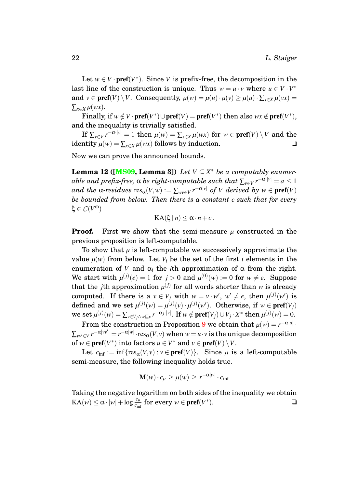Let  $w \in V$  ·  $pref(V^*)$ . Since *V* is prefix-free, the decomposition in the last line of the construction is unique. Thus  $w = u \cdot v$  where  $u \in V \cdot V^*$ and  $v \in \text{pref}(V) \setminus V$ . Consequently,  $\mu(w) = \mu(u) \cdot \mu(v) \geq \mu(u) \cdot \sum_{x \in X} \mu(vx) =$  $\sum_{x \in X} \mu(wx)$ .

Finally, if  $w \notin V \cdot \text{pref}(V^*) \cup \text{pref}(V) = \text{pref}(V^*)$  then also  $wx \notin \text{pref}(V^*)$ , and the inequality is trivially satisfied.

If  $\sum_{v \in V} r^{-\alpha \cdot |v|} = 1$  then  $\mu(w) = \sum_{x \in X} \mu(wx)$  for  $w \in \textbf{pref}(V) \setminus V$  and the identity  $\mu(w) = \sum_{x \in X} \mu(wx)$  follows by induction. <del></del>**□** 

Now we can prove the announced bounds.

**Lemma 12 ([\[MS09,](#page-27-3) Lemma 3])** *Let*  $V \subseteq X^*$  *be a computably enumer* $a$  *ble and prefix-free,*  $\alpha$  *be right-computable such that*  $\sum_{v \in V} r^{-\alpha \cdot |v|} = a \leq 1$ *and the*  $\alpha$ -residues  $res_{\alpha}(V,w) := \sum_{wv \in V} r^{-\alpha|v|}$  of  $V$  derived by  $w \in \textbf{pref}(V)$ *be bounded from below. Then there is a constant c such that for every* ξ ∈ *C*(*V* ω)

<span id="page-22-0"></span>
$$
KA(\xi\upharpoonright n)\leq \alpha\cdot n+c.
$$

**Proof.** First we show that the semi-measure *u* constructed in the previous proposition is left-computable.

To show that  $\mu$  is left-computable we successively approximate the value  $\mu(w)$  from below. Let  $V_i$  be the set of the first *i* elements in the enumeration of *V* and  $\alpha_i$  the *i*th approximation of  $\alpha$  from the right. We start with  $\mu^{(j)}(e) = 1$  for  $j > 0$  and  $\mu^{(0)}(w) := 0$  for  $w \neq e$ . Suppose that the *j*th approximation  $\mu^{(j)}$  for all words shorter than *w* is already computed. If there is a  $v \in V_j$  with  $w = v \cdot w'$ ,  $w' \neq e$ , then  $\mu^{(j)}(w')$  is defined and we set  $\mu^{(j)}(w) = \mu^{(j)}(v) \cdot \mu^{(j)}(w')$ . Otherwise, if  $w \in \text{pref}(V_j)$ we set  $\mu^{(j)}(w) = \sum_{v \in V_j \wedge w \sqsubseteq v} r^{-\alpha_j \cdot |v|}.$  If  $w \notin \textbf{pref}(V_j) \cup V_j \cdot X^*$  then  $\mu^{(j)}(w) = 0.$ 

From the construction in Proposition [9](#page-21-1) we obtain that  $\mu(w) = r^{-\alpha|u|}$ .  $\sum_{vv'\in V} r^{-\alpha|vv'|} = r^{-\alpha|w|}\cdot\operatorname{res}_\alpha(V,v)$  when  $w=u\cdot v$  is the unique decomposition of  $w \in \text{pref}(V^*)$  into factors  $u \in V^*$  and  $v \in \text{pref}(V) \setminus V$ .

Let  $c_{\text{inf}} := \inf \{ \text{res}_{\alpha}(V, v) : v \in \text{pref}(V) \}.$  Since  $\mu$  is a left-computable semi-measure, the following inequality holds true.

$$
\mathbf{M}(w) \cdot c_{\mu} \ge \mu(w) \ge r^{-\alpha|w|} \cdot c_{\inf}
$$

Taking the negative logarithm on both sides of the inequality we obtain  $\text{KA}(w) \le \alpha \cdot |w| + \log \frac{c_{\mu}}{c_{\inf}}$  for every  $w \in \textbf{pref}(V^*)$ ).  $\qquad \qquad \Box$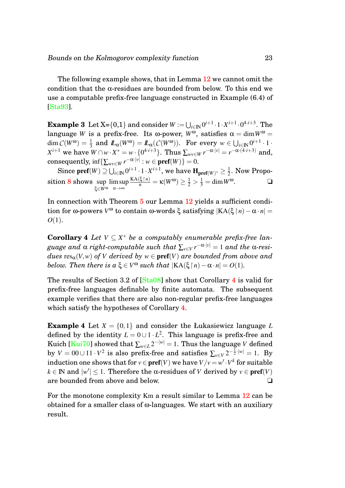The following example shows, that in Lemma [12](#page-22-0) we cannot omit the condition that the  $\alpha$ -residues are bounded from below. To this end we use a computable prefix-free language constructed in Example (6.4) of [\[Sta93\]](#page-28-0).

 $\textbf{Example 3} \ \ \text{Let} \ \text{X=}\{0,1\} \ \text{and consider} \ \textit{W} := \bigcup_{i\in \mathbb{N}} 0^{i+1}\cdot 1\cdot X^{i+1}\cdot 0^{4\cdot i+3}. \ \ \text{The}$ language *W* is a prefix-free. Its ω-power,  $W^{\omega}$ , satisfies  $\alpha = \dim W^{\omega} =$  $\dim C(W^{\omega}) = \frac{1}{3} \text{ and } \mathcal{L}_{\alpha}(W^{\omega}) = \mathcal{L}_{\alpha}(C(W^{\omega})). \text{ For every } w \in \bigcup_{i \in \mathbb{N}} 0^{i+1} \cdot 1$  $X^{i+1}$  we have  $W \cap w \cdot X^* = w \cdot \{0^{4 \cdot i + 3}\}$ . Thus  $\sum_{wv \in W} r^{-\alpha \cdot |v|} = r^{-\alpha \cdot (4 \cdot i + 3)}$  and,  $\text{consequently, } \inf \{ \sum_{wv \in W} r^{-\alpha \cdot |v|} : w \in \textbf{pref}(W) \} = 0.$ 

 $\text{Since } \textbf{pref}(W) \supseteq \bigcup_{i\in \mathbb{N}} 0^{i+1}\cdot 1\cdot X^{i+1}, \text{ we have } \textbf{H}_{\textbf{pref}(W)^*} \geq \frac{1}{2}$  $\frac{1}{2}$ . Now Propo-sition [8](#page-19-3) shows sup ξ∈*W*<sup>ω</sup> lim sup *n*→∞  $\frac{KA(\xi \mid n)}{n} = \kappa(W^{\omega}) \ge \frac{1}{2} > \frac{1}{3} = \dim W^{\omega}.$ 

<span id="page-23-0"></span>In connection with Theorem [5](#page-20-3) our Lemma [12](#page-22-0) yields a sufficient condition for ω-powers  $V^{\omega}$  to contain ω-words ξ satisfying  $|KA(\xi|n) - \alpha \cdot n|$  = *O*(1).

**Corollary 4** *Let*  $V \subseteq X^*$  *be a computably enumerable prefix-free language and* α *right-computable such that* ∑*v*∈*<sup>V</sup> r* <sup>−</sup>α·|*v*<sup>|</sup> = 1 *and the* α*-residues*  $res_{\alpha}(V, w)$  *of V derived by*  $w \in \text{pref}(V)$  *are bounded from above and below. Then there is a*  $\xi \in V^{\omega}$  *such that*  $|KA(\xi | n) - \alpha \cdot n| = O(1)$ *.* 

The results of Section 3.2 of [\[Sta08\]](#page-28-6) show that Corollary [4](#page-23-0) is valid for prefix-free languages definable by finite automata. The subsequent example verifies that there are also non-regular prefix-free languages which satisfy the hypotheses of Corollary [4.](#page-23-0)

**Example 4** Let  $X = \{0, 1\}$  and consider the Łukasiewicz language L defined by the identity  $L = 0 \cup 1 \cdot L^2$ . This language is prefix-free and Kuich [\[Kui70\]](#page-27-9) showed that  $\sum_{w \in L} 2^{-|w|} = 1.$  Thus the language  $V$  defined by  $V = 00 \cup 11 \cdot V^2$  is also prefix-free and satisfies  $\sum_{v \in V} 2^{-\frac{1}{2} \cdot |w|} = 1$ . By  $\text{induction one shows that for } v \in \textbf{pref}(V) \text{ we have } V/v = w' \cdot V^k \text{ for suitable } \theta$  $k \in \mathbb{N}$  and  $|w'| \leq 1$ . Therefore the α-residues of *V* derived by  $v \in \textbf{pref}(V)$ are bounded from above and below. □

<span id="page-23-1"></span>For the monotone complexity Km a result similar to Lemma [12](#page-22-0) can be obtained for a smaller class of ω-languages. We start with an auxiliary result.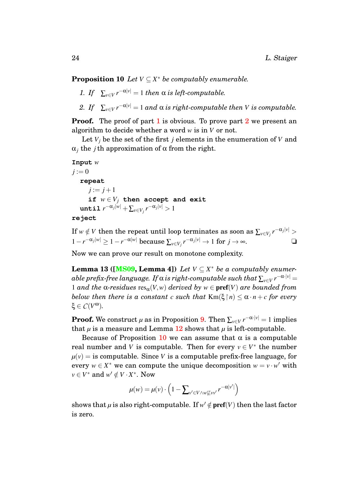**Proposition 10** *Let*  $V \subseteq X^*$  *be computably enumerable.* 

- <span id="page-24-0"></span>*1. If*  $\sum_{v \in V} r^{-\alpha|v|} = 1$  *then*  $\alpha$  *is left-computable.*
- <span id="page-24-1"></span>*2. If*  $\sum_{v \in V} r^{-\alpha|v|} = 1$  *and*  $\alpha$  *is right-computable then V is computable.*

**Proof.** The proof of part [1](#page-24-0) is obvious. To prove part [2](#page-24-1) we present an algorithm to decide whether a word *w* is in *V* or not.

Let  $V_i$  be the set of the first *j* elements in the enumeration of  $V$  and  $\alpha_i$  the *j*th approximation of  $\alpha$  from the right.

```
Input w
j := 0repeat
       j := j + 1if w \in V_j then accept and exit
   \texttt{until}~ r^{-\alpha_j|w|} + \sum_{v \in V_j} r^{-\alpha_j|v|} > 1
```

```
reject
```
 $\text{If } w \notin V \text{ then the repeat until loop terminates as soon as } \sum_{v \in V_j} r^{-\alpha_j |v|} > 0.$  $1-r^{-\alpha_j|w|}$  ≥ 1 − *r*<sup>-α|*w*|</sup> because  $\sum_{v \in V_j} r^{-\alpha_j|v|}$  → 1 for *j* → ∞. <del></del>

<span id="page-24-2"></span>Now we can prove our result on monotone complexity.

**Lemma 13 ([\[MS09,](#page-27-3) Lemma 4])** *Let*  $V \subseteq X^*$  *be a computably enumer* $a$ ble prefix-free language. If  $\alpha$  is right-computable such that  $\sum_{v \in V} r^{-\alpha \cdot |v|} =$ 1 *and the*  $\alpha$ -residues  $res_{\alpha}(V, w)$  *derived by*  $w \in \text{pref}(V)$  *are bounded from below then there is a constant c such that*  $\text{Km}(\xi \mid n) \leq \alpha \cdot n + c$  *for every* ξ ∈ *C*(*V* <sup>ω</sup>)*.*

**Proof.** We construct  $\mu$  as in Proposition [9.](#page-21-1) Then  $\sum_{v \in V} r^{-\alpha \cdot |v|} = 1$  implies that  $\mu$  is a measure and Lemma [12](#page-22-0) shows that  $\mu$  is left-computable.

Because of Proposition [10](#page-23-1) we can assume that  $\alpha$  is a computable real number and *V* is computable. Then for every  $v \in V^*$  the number  $\mu(v)$  = is computable. Since *V* is a computable prefix-free language, for every  $w \in X^*$  we can compute the unique decomposition  $w = v \cdot w'$  with  $v \in V^*$  and  $w' \notin V \cdot X^*$ . Now

$$
\mu(w) = \mu(v) \cdot \left(1 - \sum_{v' \in V \wedge w \not\subseteq vv'} r^{-\alpha|v'|}\right)
$$

shows that  $\mu$  is also right-computable. If  $w' \notin \text{pref}(V)$  then the last factor is zero.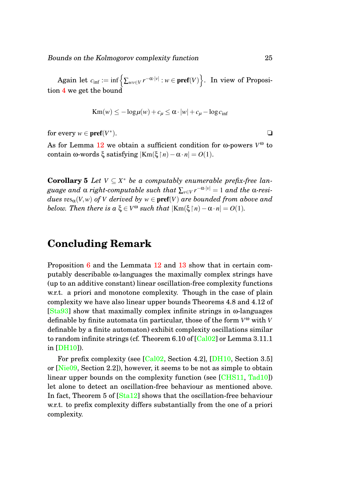$\mathrm{Again}\ \mathrm{let}\ \mathit{c}_{\mathrm{inf}}:=\mathrm{inf}\Big\{\sum_{\mathit{wv}\in\mathit{V}}r^{-\alpha\cdot|\mathit{v}|}:\mathit{w}\in\mathbf{pref}(\mathit{V})\Big\}. \ \ \mathrm{In}\ \mathrm{view}\ \mathrm{of}\ \mathrm{Proposi}\text{-}$ tion [4](#page-12-2) we get the bound

$$
Km(w) \le -\log \mu(w) + c_{\mu} \le \alpha \cdot |w| + c_{\mu} - \log c_{\inf}
$$

for every  $w \in \textbf{pref}(V^*)$ ).  $\qquad \qquad \Box$ 

As for Lemma [12](#page-22-0) we obtain a sufficient condition for ω-powers *V* <sup>ω</sup> to contain ω-words ξ satisfying  $|Km(\xi|n) - α \cdot n| = O(1)$ .

**Corollary 5** *Let*  $V \subseteq X^*$  *be a computably enumerable prefix-free language and* α *right-computable such that* ∑*v*∈*<sup>V</sup> r* <sup>−</sup>α·|*v*<sup>|</sup> = 1 *and the* α*-residues*  $res_{\alpha}(V, w)$  *of V derived by*  $w \in \text{pref}(V)$  *are bounded from above and below. Then there is a*  $\xi \in V^{\omega}$  *such that*  $|\text{Km}(\xi | n) - \alpha \cdot n| = O(1)$ *.* 

## **Concluding Remark**

Proposition [6](#page-17-1) and the Lemmata [12](#page-22-0) and [13](#page-24-2) show that in certain computably describable ω-languages the maximally complex strings have (up to an additive constant) linear oscillation-free complexity functions w.r.t. a priori and monotone complexity. Though in the case of plain complexity we have also linear upper bounds Theorems 4.8 and 4.12 of [\[Sta93\]](#page-28-0) show that maximally complex infinite strings in ω-languages definable by finite automata (in particular, those of the form *V* <sup>ω</sup> with *V* definable by a finite automaton) exhibit complexity oscillations similar to random infinite strings (cf. Theorem 6.10 of  $[Cal02]$  or Lemma 3.11.1 in [\[DH10\]](#page-26-4)).

For prefix complexity (see [\[Cal02,](#page-26-3) Section 4.2], [\[DH10,](#page-26-4) Section 3.5] or [\[Nie09,](#page-27-5) Section 2.2]), however, it seems to be not as simple to obtain linear upper bounds on the complexity function (see [\[CHS11,](#page-26-7) [Tad10\]](#page-28-9)) let alone to detect an oscillation-free behaviour as mentioned above. In fact, Theorem 5 of [\[Sta12\]](#page-28-10) shows that the oscillation-free behaviour w.r.t. to prefix complexity differs substantially from the one of a priori complexity.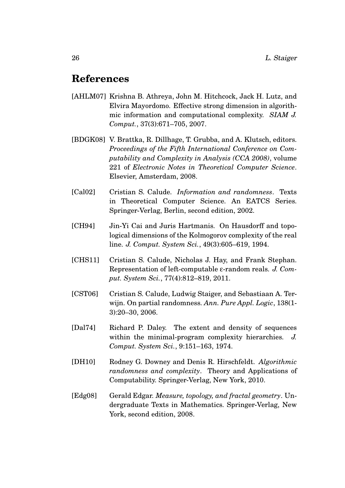## **References**

- <span id="page-26-1"></span>[AHLM07] Krishna B. Athreya, John M. Hitchcock, Jack H. Lutz, and Elvira Mayordomo. Effective strong dimension in algorithmic information and computational complexity. *SIAM J. Comput.*, 37(3):671–705, 2007.
- <span id="page-26-8"></span>[BDGK08] V. Brattka, R. Dillhage, T. Grubba, and A. Klutsch, editors. *Proceedings of the Fifth International Conference on Computability and Complexity in Analysis (CCA 2008)*, volume 221 of *Electronic Notes in Theoretical Computer Science*. Elsevier, Amsterdam, 2008.
- <span id="page-26-3"></span>[Cal02] Cristian S. Calude. *Information and randomness*. Texts in Theoretical Computer Science. An EATCS Series. Springer-Verlag, Berlin, second edition, 2002.
- <span id="page-26-0"></span>[CH94] Jin-Yi Cai and Juris Hartmanis. On Hausdorff and topological dimensions of the Kolmogorov complexity of the real line. *J. Comput. System Sci.*, 49(3):605–619, 1994.
- <span id="page-26-7"></span>[CHS11] Cristian S. Calude, Nicholas J. Hay, and Frank Stephan. Representation of left-computable ε-random reals. *J. Comput. System Sci.*, 77(4):812–819, 2011.
- <span id="page-26-2"></span>[CST06] Cristian S. Calude, Ludwig Staiger, and Sebastiaan A. Terwijn. On partial randomness. *Ann. Pure Appl. Logic*, 138(1- 3):20–30, 2006.
- <span id="page-26-6"></span>[Dal74] Richard P. Daley. The extent and density of sequences within the minimal-program complexity hierarchies. *J. Comput. System Sci.*, 9:151–163, 1974.
- <span id="page-26-4"></span>[DH10] Rodney G. Downey and Denis R. Hirschfeldt. *Algorithmic randomness and complexity*. Theory and Applications of Computability. Springer-Verlag, New York, 2010.
- <span id="page-26-5"></span>[Edg08] Gerald Edgar. *Measure, topology, and fractal geometry*. Undergraduate Texts in Mathematics. Springer-Verlag, New York, second edition, 2008.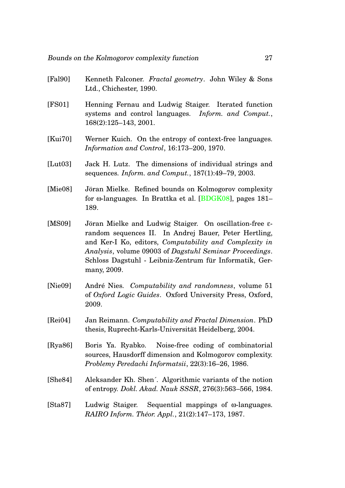- <span id="page-27-2"></span>[Fal90] Kenneth Falconer. *Fractal geometry*. John Wiley & Sons Ltd., Chichester, 1990.
- <span id="page-27-10"></span>[FS01] Henning Fernau and Ludwig Staiger. Iterated function systems and control languages. *Inform. and Comput.*, 168(2):125–143, 2001.
- <span id="page-27-9"></span>[Kui70] Werner Kuich. On the entropy of context-free languages. *Information and Control*, 16:173–200, 1970.
- <span id="page-27-1"></span>[Lut03] Jack H. Lutz. The dimensions of individual strings and sequences. *Inform. and Comput.*, 187(1):49–79, 2003.
- <span id="page-27-7"></span>[Mie08] Jöran Mielke. Refined bounds on Kolmogorov complexity for ω-languages. In Brattka et al. [\[BDGK08\]](#page-26-8), pages 181– 189.
- <span id="page-27-3"></span>[MS09] Jöran Mielke and Ludwig Staiger. On oscillation-free  $\varepsilon$ random sequences II. In Andrej Bauer, Peter Hertling, and Ker-I Ko, editors, *Computability and Complexity in Analysis*, volume 09003 of *Dagstuhl Seminar Proceedings*. Schloss Dagstuhl - Leibniz-Zentrum für Informatik, Germany, 2009.
- <span id="page-27-5"></span>[Nie09] Andre Nies. ´ *Computability and randomness*, volume 51 of *Oxford Logic Guides*. Oxford University Press, Oxford, 2009.
- <span id="page-27-8"></span>[Rei04] Jan Reimann. *Computability and Fractal Dimension*. PhD thesis, Ruprecht-Karls-Universität Heidelberg, 2004.
- <span id="page-27-0"></span>[Rya86] Boris Ya. Ryabko. Noise-free coding of combinatorial sources, Hausdorff dimension and Kolmogorov complexity. *Problemy Peredachi Informatsii*, 22(3):16–26, 1986.
- <span id="page-27-6"></span>[She84] Aleksander Kh. Shen´. Algorithmic variants of the notion of entropy. *Dokl. Akad. Nauk SSSR*, 276(3):563–566, 1984.
- <span id="page-27-4"></span>[Sta87] Ludwig Staiger. Sequential mappings of ω-languages. *RAIRO Inform. Th´eor. Appl.*, 21(2):147–173, 1987.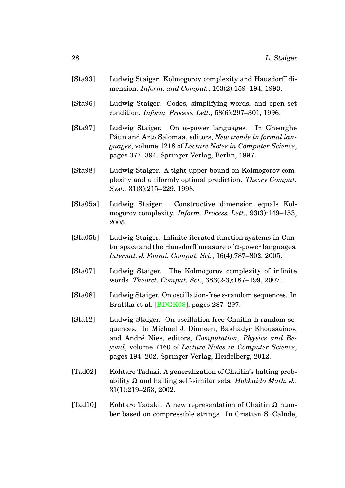- <span id="page-28-0"></span>[Sta93] Ludwig Staiger. Kolmogorov complexity and Hausdorff dimension. *Inform. and Comput.*, 103(2):159–194, 1993.
- <span id="page-28-7"></span>[Sta96] Ludwig Staiger. Codes, simplifying words, and open set condition. *Inform. Process. Lett.*, 58(6):297–301, 1996.
- <span id="page-28-5"></span>[Sta97] Ludwig Staiger. On ω-power languages. In Gheorghe Păun and Arto Salomaa, editors, New trends in formal lan*guages*, volume 1218 of *Lecture Notes in Computer Science*, pages 377–394. Springer-Verlag, Berlin, 1997.
- <span id="page-28-1"></span>[Sta98] Ludwig Staiger. A tight upper bound on Kolmogorov complexity and uniformly optimal prediction. *Theory Comput. Syst.*, 31(3):215–229, 1998.
- <span id="page-28-2"></span>[Sta05a] Ludwig Staiger. Constructive dimension equals Kolmogorov complexity. *Inform. Process. Lett.*, 93(3):149–153, 2005.
- <span id="page-28-8"></span>[Sta05b] Ludwig Staiger. Infinite iterated function systems in Cantor space and the Hausdorff measure of ω-power languages. *Internat. J. Found. Comput. Sci.*, 16(4):787–802, 2005.
- <span id="page-28-4"></span>[Sta07] Ludwig Staiger. The Kolmogorov complexity of infinite words. *Theoret. Comput. Sci.*, 383(2-3):187–199, 2007.
- <span id="page-28-6"></span>[Sta08] Ludwig Staiger. On oscillation-free ε-random sequences. In Brattka et al. [\[BDGK08\]](#page-26-8), pages 287–297.
- <span id="page-28-10"></span>[Sta12] Ludwig Staiger. On oscillation-free Chaitin h-random sequences. In Michael J. Dinneen, Bakhadyr Khoussainov, and André Nies, editors, *Computation, Physics and Beyond*, volume 7160 of *Lecture Notes in Computer Science*, pages 194–202, Springer-Verlag, Heidelberg, 2012.
- <span id="page-28-3"></span>[Tad02] Kohtaro Tadaki. A generalization of Chaitin's halting probability Ω and halting self-similar sets. *Hokkaido Math. J.*, 31(1):219–253, 2002.
- <span id="page-28-9"></span>[Tad10] Kohtaro Tadaki. A new representation of Chaitin  $\Omega$  number based on compressible strings. In Cristian S. Calude,